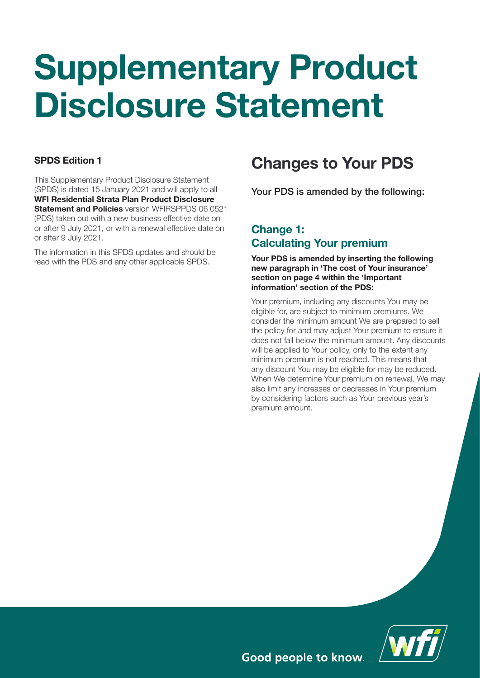# **Supplementary Product Disclosure Statement**

### **SPDS Edition 1**

This Supplementary Product Disclosure Statement (SPDS) is dated 15 January 2021 and will apply to all **WFI Residential Strata Plan Product Disclosure Statement and Policies** version WFIRSPPDS 06 0521 (PDS) taken out with a new business effective date on or after 9 July 2021, or with a renewal effective date on or after 9 July 2021.

The information in this SPDS updates and should be read with the PDS and any other applicable SPDS.

## **Changes to Your PDS**

Your PDS is amended by the following:

## **Change 1: Calculating Your premium**

**Your PDS is amended by inserting the following new paragraph in 'The cost of Your insurance' section on page 4 within the 'Important information' section of the PDS:**

Your premium, including any discounts You may be eligible for, are subject to minimum premiums. We consider the minimum amount We are prepared to sell the policy for and may adjust Your premium to ensure it does not fall below the minimum amount. Any discounts will be applied to Your policy, only to the extent any minimum premium is not reached. This means that any discount You may be eligible for may be reduced. When We determine Your premium on renewal, We may also limit any increases or decreases in Your premium by considering factors such as Your previous year's premium amount.

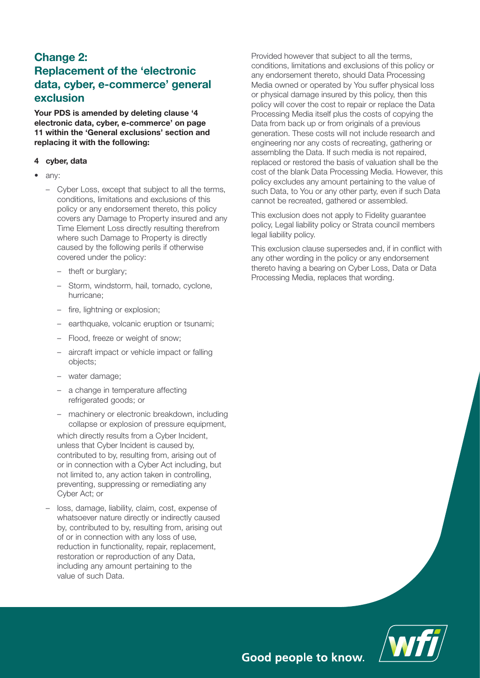## **Change 2: Replacement of the 'electronic data, cyber, e-commerce' general exclusion**

**Your PDS is amended by deleting clause '4 electronic data, cyber, e-commerce' on page 11 within the 'General exclusions' section and replacing it with the following:**

#### **4 cyber, data**

- any:
	- Cyber Loss, except that subject to all the terms, conditions, limitations and exclusions of this policy or any endorsement thereto, this policy covers any Damage to Property insured and any Time Element Loss directly resulting therefrom where such Damage to Property is directly caused by the following perils if otherwise covered under the policy:
		- theft or burglary;
		- Storm, windstorm, hail, tornado, cyclone, hurricane;
		- fire, lightning or explosion;
		- earthquake, volcanic eruption or tsunami;
		- Flood, freeze or weight of snow;
		- aircraft impact or vehicle impact or falling objects;
		- water damage;
		- a change in temperature affecting refrigerated goods; or
		- machinery or electronic breakdown, including collapse or explosion of pressure equipment,

which directly results from a Cyber Incident, unless that Cyber Incident is caused by, contributed to by, resulting from, arising out of or in connection with a Cyber Act including, but not limited to, any action taken in controlling, preventing, suppressing or remediating any Cyber Act; or

loss, damage, liability, claim, cost, expense of whatsoever nature directly or indirectly caused by, contributed to by, resulting from, arising out of or in connection with any loss of use, reduction in functionality, repair, replacement, restoration or reproduction of any Data, including any amount pertaining to the value of such Data.

Provided however that subject to all the terms, conditions, limitations and exclusions of this policy or any endorsement thereto, should Data Processing Media owned or operated by You suffer physical loss or physical damage insured by this policy, then this policy will cover the cost to repair or replace the Data Processing Media itself plus the costs of copying the Data from back up or from originals of a previous generation. These costs will not include research and engineering nor any costs of recreating, gathering or assembling the Data. If such media is not repaired, replaced or restored the basis of valuation shall be the cost of the blank Data Processing Media. However, this policy excludes any amount pertaining to the value of such Data, to You or any other party, even if such Data cannot be recreated, gathered or assembled.

This exclusion does not apply to Fidelity guarantee policy, Legal liability policy or Strata council members legal liability policy.

This exclusion clause supersedes and, if in conflict with any other wording in the policy or any endorsement thereto having a bearing on Cyber Loss, Data or Data Processing Media, replaces that wording.

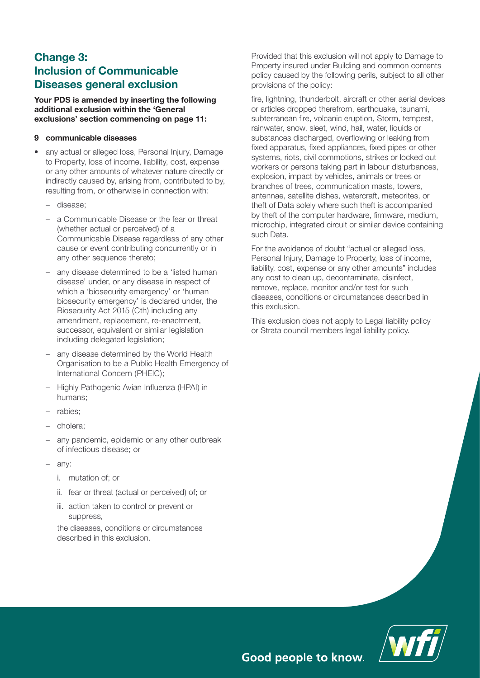## **Change 3: Inclusion of Communicable Diseases general exclusion**

**Your PDS is amended by inserting the following additional exclusion within the 'General exclusions' section commencing on page 11:**

#### **9 communicable diseases**

- any actual or alleged loss, Personal Injury, Damage to Property, loss of income, liability, cost, expense or any other amounts of whatever nature directly or indirectly caused by, arising from, contributed to by, resulting from, or otherwise in connection with:
	- disease;
	- a Communicable Disease or the fear or threat (whether actual or perceived) of a Communicable Disease regardless of any other cause or event contributing concurrently or in any other sequence thereto;
	- any disease determined to be a 'listed human disease' under, or any disease in respect of which a 'biosecurity emergency' or 'human biosecurity emergency' is declared under, the Biosecurity Act 2015 (Cth) including any amendment, replacement, re-enactment, successor, equivalent or similar legislation including delegated legislation;
	- any disease determined by the World Health Organisation to be a Public Health Emergency of International Concern (PHEIC);
	- Highly Pathogenic Avian Influenza (HPAI) in humans;
	- rabies;
	- cholera;
	- any pandemic, epidemic or any other outbreak of infectious disease; or
	- any:
		- i. mutation of; or
		- ii. fear or threat (actual or perceived) of; or
		- iii. action taken to control or prevent or suppress,

the diseases, conditions or circumstances described in this exclusion.

Provided that this exclusion will not apply to Damage to Property insured under Building and common contents policy caused by the following perils, subject to all other provisions of the policy:

fire, lightning, thunderbolt, aircraft or other aerial devices or articles dropped therefrom, earthquake, tsunami, subterranean fire, volcanic eruption, Storm, tempest, rainwater, snow, sleet, wind, hail, water, liquids or substances discharged, overflowing or leaking from fixed apparatus, fixed appliances, fixed pipes or other systems, riots, civil commotions, strikes or locked out workers or persons taking part in labour disturbances, explosion, impact by vehicles, animals or trees or branches of trees, communication masts, towers, antennae, satellite dishes, watercraft, meteorites, or theft of Data solely where such theft is accompanied by theft of the computer hardware, firmware, medium, microchip, integrated circuit or similar device containing such Data.

For the avoidance of doubt "actual or alleged loss, Personal Injury, Damage to Property, loss of income, liability, cost, expense or any other amounts" includes any cost to clean up, decontaminate, disinfect, remove, replace, monitor and/or test for such diseases, conditions or circumstances described in this exclusion.

This exclusion does not apply to Legal liability policy or Strata council members legal liability policy.

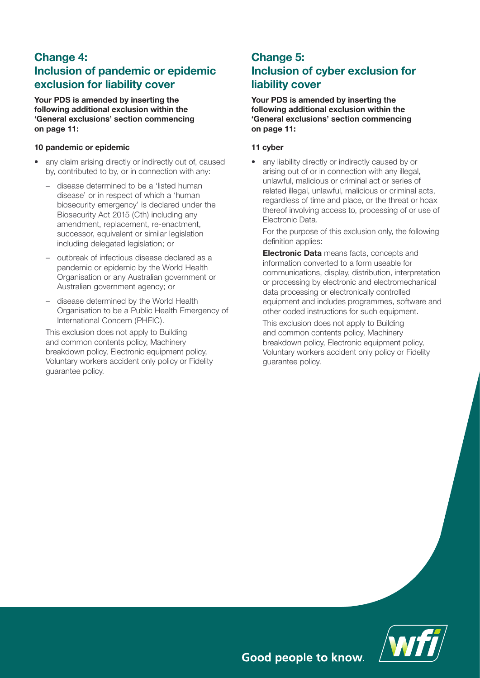## **Change 4: Inclusion of pandemic or epidemic exclusion for liability cover**

**Your PDS is amended by inserting the following additional exclusion within the 'General exclusions' section commencing on page 11:**

#### **10 pandemic or epidemic**

- any claim arising directly or indirectly out of, caused by, contributed to by, or in connection with any:
	- disease determined to be a 'listed human disease' or in respect of which a 'human biosecurity emergency' is declared under the Biosecurity Act 2015 (Cth) including any amendment, replacement, re-enactment, successor, equivalent or similar legislation including delegated legislation; or
	- outbreak of infectious disease declared as a pandemic or epidemic by the World Health Organisation or any Australian government or Australian government agency; or
	- disease determined by the World Health Organisation to be a Public Health Emergency of International Concern (PHEIC).

This exclusion does not apply to Building and common contents policy, Machinery breakdown policy, Electronic equipment policy, Voluntary workers accident only policy or Fidelity guarantee policy.

## **Change 5: Inclusion of cyber exclusion for liability cover**

**Your PDS is amended by inserting the following additional exclusion within the 'General exclusions' section commencing on page 11:**

#### **11 cyber**

• any liability directly or indirectly caused by or arising out of or in connection with any illegal, unlawful, malicious or criminal act or series of related illegal, unlawful, malicious or criminal acts, regardless of time and place, or the threat or hoax thereof involving access to, processing of or use of Electronic Data.

For the purpose of this exclusion only, the following definition applies:

**Electronic Data** means facts, concepts and information converted to a form useable for communications, display, distribution, interpretation or processing by electronic and electromechanical data processing or electronically controlled equipment and includes programmes, software and other coded instructions for such equipment.

This exclusion does not apply to Building and common contents policy, Machinery breakdown policy, Electronic equipment policy, Voluntary workers accident only policy or Fidelity guarantee policy.

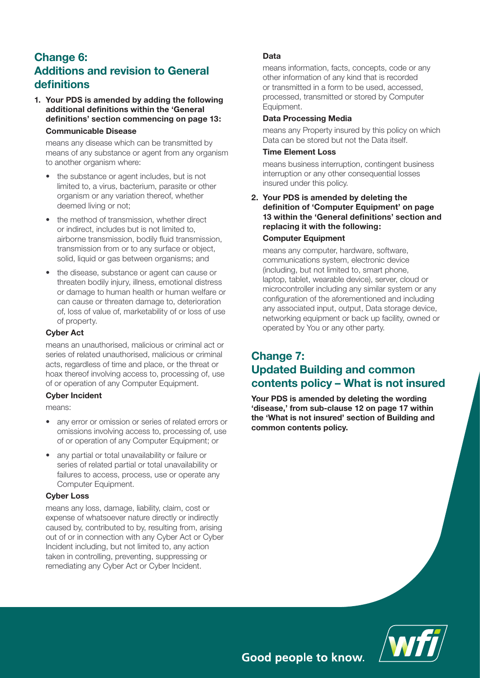## **Change 6: Additions and revision to General definitions**

**1. Your PDS is amended by adding the following additional definitions within the 'General definitions' section commencing on page 13:**

#### **Communicable Disease**

means any disease which can be transmitted by means of any substance or agent from any organism to another organism where:

- the substance or agent includes, but is not limited to, a virus, bacterium, parasite or other organism or any variation thereof, whether deemed living or not;
- the method of transmission, whether direct or indirect, includes but is not limited to, airborne transmission, bodily fluid transmission, transmission from or to any surface or object, solid, liquid or gas between organisms; and
- the disease, substance or agent can cause or threaten bodily injury, illness, emotional distress or damage to human health or human welfare or can cause or threaten damage to, deterioration of, loss of value of, marketability of or loss of use of property.

#### **Cyber Act**

means an unauthorised, malicious or criminal act or series of related unauthorised, malicious or criminal acts, regardless of time and place, or the threat or hoax thereof involving access to, processing of, use of or operation of any Computer Equipment.

#### **Cyber Incident**

means:

- any error or omission or series of related errors or omissions involving access to, processing of, use of or operation of any Computer Equipment; or
- any partial or total unavailability or failure or series of related partial or total unavailability or failures to access, process, use or operate any Computer Equipment.

#### **Cyber Loss**

means any loss, damage, liability, claim, cost or expense of whatsoever nature directly or indirectly caused by, contributed to by, resulting from, arising out of or in connection with any Cyber Act or Cyber Incident including, but not limited to, any action taken in controlling, preventing, suppressing or remediating any Cyber Act or Cyber Incident.

#### **Data**

means information, facts, concepts, code or any other information of any kind that is recorded or transmitted in a form to be used, accessed, processed, transmitted or stored by Computer Equipment.

#### **Data Processing Media**

means any Property insured by this policy on which Data can be stored but not the Data itself.

#### **Time Element Loss**

means business interruption, contingent business interruption or any other consequential losses insured under this policy.

**2. Your PDS is amended by deleting the definition of 'Computer Equipment' on page 13 within the 'General definitions' section and replacing it with the following:**

#### **Computer Equipment**

means any computer, hardware, software, communications system, electronic device (including, but not limited to, smart phone, laptop, tablet, wearable device), server, cloud or microcontroller including any similar system or any configuration of the aforementioned and including any associated input, output, Data storage device, networking equipment or back up facility, owned or operated by You or any other party.

## **Change 7: Updated Building and common contents policy – What is not insured**

**Your PDS is amended by deleting the wording 'disease,' from sub-clause 12 on page 17 within the 'What is not insured' section of Building and common contents policy.**

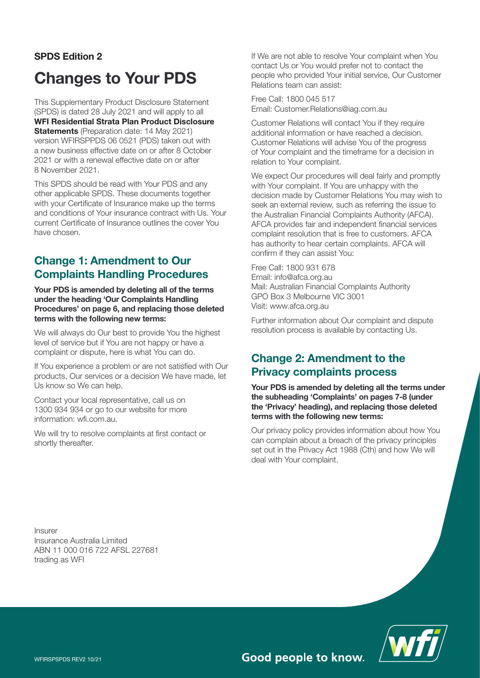## **Changes to Your PDS**

This Supplementary Product Disclosure Statement (SPDS) is dated 28 July 2021 and will apply to all **WFI Residential Strata Plan Product Disclosure Statements** (Preparation date: 14 May 2021) version WFIRSPPDS 06 0521 (PDS) taken out with a new business effective date on or after 8 October 2021 or with a renewal effective date on or after 8 November 2021.

This SPDS should be read with Your PDS and any other applicable SPDS. These documents together with your Certificate of Insurance make up the terms and conditions of Your insurance contract with Us. Your current Certificate of Insurance outlines the cover You have chosen.

## **Change 1: Amendment to Our Complaints Handling Procedures**

**Your PDS is amended by deleting all of the terms under the heading 'Our Complaints Handling Procedures' on page 6, and replacing those deleted terms with the following new terms:**

We will always do Our best to provide You the highest level of service but if You are not happy or have a complaint or dispute, here is what You can do.

If You experience a problem or are not satisfied with Our products, Our services or a decision We have made, let Us know so We can help.

Contact your local representative, call us on 1300 934 934 or go to our website for more information: [wfi.com.au.](http://wfi.com.au)

We will try to resolve complaints at first contact or shortly thereafter.

If We are not able to resolve Your complaint when You contact Us or You would prefer not to contact the people who provided Your initial service, Our Customer Relations team can assist:

Free Call: 1800 045 517 Email: Customer.Relations@iag.com.au

Customer Relations will contact You if they require additional information or have reached a decision. Customer Relations will advise You of the progress of Your complaint and the timeframe for a decision in relation to Your complaint.

We expect Our procedures will deal fairly and promptly with Your complaint. If You are unhappy with the decision made by Customer Relations You may wish to seek an external review, such as referring the issue to the Australian Financial Complaints Authority (AFCA). AFCA provides fair and independent financial services complaint resolution that is free to customers. AFCA has authority to hear certain complaints. AFCA will confirm if they can assist You:

Free Call: 1800 931 678 Email: info@afca.org.au Mail: Australian Financial Complaints Authority GPO Box 3 Melbourne VIC 3001 Visit: [www.afca.org.au](http://www.afca.org.au)

Further information about Our complaint and dispute resolution process is available by contacting Us.

## **Change 2: Amendment to the Privacy complaints process**

Good people to know.

**Your PDS is amended by deleting all the terms under the subheading 'Complaints' on pages 7-8 (under the 'Privacy' heading), and replacing those deleted terms with the following new terms:**

Our privacy policy provides information about how You can complain about a breach of the privacy principles set out in the Privacy Act 1988 (Cth) and how We will deal with Your complaint.

**Insurer** Insurance Australia Limited ABN 11 000 016 722 AFSL 227681 trading as WFI

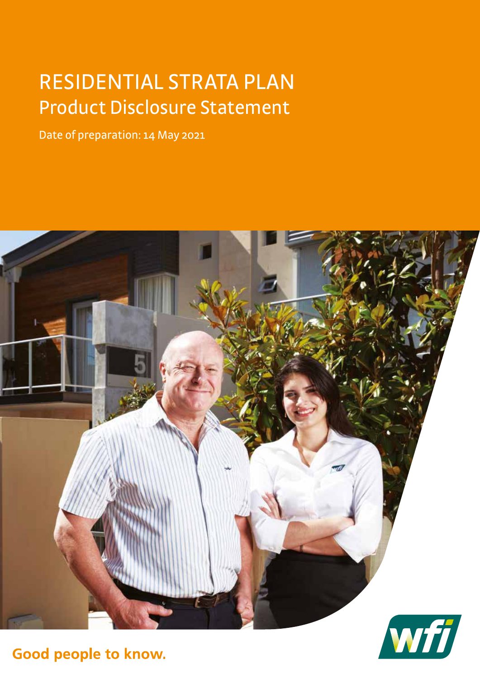# RESIDENTIAL STRATA PLAN Product Disclosure Statement

Date of preparation: 14 May 2021

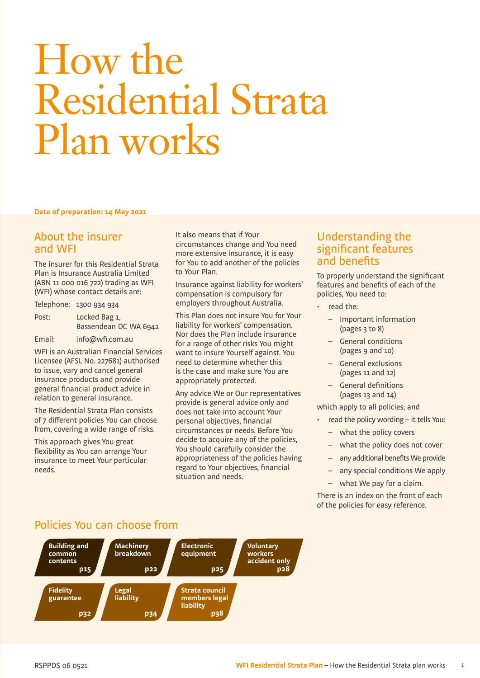# How the Residential Strata Plan works

**Date of preparation: 14 May 2021**

## About the insurer and WFI

The insurer for this Residential Strata Plan is Insurance Australia Limited (ABN 11 000 016 722) trading as WFI (WFI) whose contact details are:

|       | Telephone: 1300 934 934                |
|-------|----------------------------------------|
| Post: | Locked Bag 1,<br>Bassendean DC WA 6942 |

Email: info@wfi.com.au

WFI is an Australian Financial Services Licensee (AFSL No. 227681) authorised to issue, vary and cancel general insurance products and provide general financial product advice in relation to general insurance.

The Residential Strata Plan consists of 7 different policies You can choose from, covering a wide range of risks.

This approach gives You great flexibility as You can arrange Your insurance to meet Your particular needs.

It also means that if Your circumstances change and You need more extensive insurance, it is easy for You to add another of the policies to Your Plan.

Insurance against liability for workers' compensation is compulsory for employers throughout Australia.

This Plan does not insure You for Your liability for workers' compensation. Nor does the Plan include insurance for a range of other risks You might want to insure Yourself against. You need to determine whether this is the case and make sure You are appropriately protected.

Any advice We or Our representatives provide is general advice only and does not take into account Your personal objectives, financial circumstances or needs. Before You decide to acquire any of the policies, You should carefully consider the appropriateness of the policies having regard to Your objectives, financial situation and needs.

## Understanding the significant features and benefits

To properly understand the significant features and benefits of each of the policies, You need to:

- read the:
	- Important information (pages 3 to 8)
	- General conditions (pages 9 and 10)
	- General exclusions (pages 11 and 12)
	- General definitions (pages 13 and 14)

which apply to all policies; and

- read the policy wording  $-$  it tells You:
	- what the policy covers
	- what the policy does not cover
	- any additional benefits We provide
	- any special conditions We apply
	- what We pay for a claim.

There is an index on the front of each of the policies for easy reference.



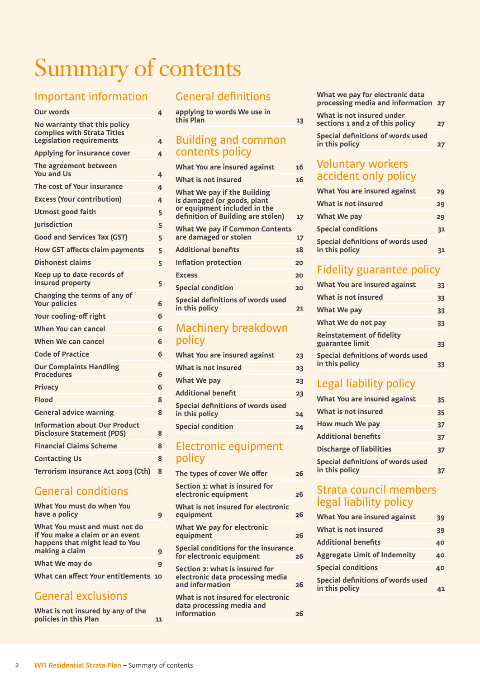# Summary of contents

## [Important information](#page-10-0)

| Our words                                                                                      | 4 |
|------------------------------------------------------------------------------------------------|---|
| No warranty that this policy<br>complies with Strata Titles<br><b>Legislation requirements</b> | 4 |
| <b>Applying for insurance cover</b>                                                            | 4 |
| The agreement between<br><b>You and Us</b>                                                     | 4 |
| The cost of Your insurance                                                                     | 4 |
| <b>Excess (Your contribution)</b>                                                              | 4 |
| <b>Utmost good faith</b>                                                                       | 5 |
| <b>Jurisdiction</b>                                                                            | 5 |
| <b>Good and Services Tax (GST)</b>                                                             | 5 |
| <b>How GST affects claim payments</b>                                                          | 5 |
| <b>Dishonest claims</b>                                                                        | 5 |
| Keep up to date records of<br>insured property                                                 | 5 |
| Changing the terms of any of<br><b>Your policies</b>                                           | 6 |
| Your cooling-off right                                                                         | 6 |
| When You can cancel                                                                            | 6 |
| When We can cancel                                                                             | 6 |
| <b>Code of Practice</b>                                                                        | 6 |
| <b>Our Complaints Handling</b><br><b>Procedures</b>                                            | 6 |
| <b>Privacy</b>                                                                                 | 6 |
| <b>Flood</b>                                                                                   | 8 |
| <b>General advice warning</b>                                                                  | 8 |
| <b>Information about Our Product</b><br><b>Disclosure Statement (PDS)</b>                      | 8 |
| <b>Financial Claims Scheme</b>                                                                 | 8 |
| <b>Contacting Us</b>                                                                           | 8 |
| Terrorism Insurance Act 2003 (Cth)                                                             | 8 |
|                                                                                                |   |

## [General conditions](#page-16-0)

| What You must do when You<br>have a policy                                                                           | q |
|----------------------------------------------------------------------------------------------------------------------|---|
| What You must and must not do<br>if You make a claim or an event<br>happens that might lead to You<br>making a claim | q |
| What We may do                                                                                                       | q |
| <b>What can affect Your entitlements 10</b>                                                                          |   |

## [General exclusions](#page-18-0)

| What is not insured by any of the |    |
|-----------------------------------|----|
| policies in this Plan             | 11 |

## [General definitions](#page-20-0)

| applying to words We use in<br>this Plan |    |
|------------------------------------------|----|
|                                          | 13 |

## [Building and common](#page-22-0)  [contents policy](#page-22-0)

| <b>What You are insured against</b>                                                                                                     | 16 |
|-----------------------------------------------------------------------------------------------------------------------------------------|----|
| What is not insured                                                                                                                     | 16 |
| <b>What We pay if the Building</b><br>is damaged (or goods, plant<br>or equipment included in the<br>definition of Building are stolen) | 17 |
| <b>What We pay if Common Contents</b><br>are damaged or stolen                                                                          | 17 |
| <b>Additional benefits</b>                                                                                                              | 18 |
| Inflation protection                                                                                                                    | 20 |
| <b>Excess</b>                                                                                                                           | 20 |
| <b>Special condition</b>                                                                                                                | 20 |
| <b>Special definitions of words used</b><br>in this policy                                                                              | 21 |

## [Machinery breakdown](#page-29-0) [policy](#page-29-0)

| What You are insured against                               | 23 |
|------------------------------------------------------------|----|
| What is not insured                                        | 23 |
| What We pay                                                | 23 |
| <b>Additional benefit</b>                                  | 23 |
| <b>Special definitions of words used</b><br>in this policy | 24 |
| <b>Special condition</b>                                   | 24 |

## [Electronic equipment](#page-32-0)  [policy](#page-32-0)

| The types of cover We offer                                                           | 26 |
|---------------------------------------------------------------------------------------|----|
| Section 1: what is insured for<br>electronic equipment                                | 26 |
| What is not insured for electronic<br>equipment                                       | 26 |
| <b>What We pay for electronic</b><br>equipment                                        | 26 |
| Special conditions for the insurance<br>for electronic equipment                      | 26 |
| Section 2: what is insured for<br>electronic data processing media<br>and information | 26 |
| What is not insured for electronic<br>data processing media and<br>information        | 26 |

**[What we pay for electronic data](#page-34-0)  [processing media and information](#page-34-0) 27 [What is not insured under](#page-34-0)  [sections 1 and 2 of this policy](#page-34-0) 27**

| <b>Special definitions of words used</b> |    |
|------------------------------------------|----|
| in this policy                           | 27 |

## [Voluntary workers](#page-35-0)  [accident only policy](#page-35-0)

| What You are insured against                               | 29 |
|------------------------------------------------------------|----|
| What is not insured                                        | 29 |
| <b>What We pay</b>                                         | 29 |
| <b>Special conditions</b>                                  | 31 |
| <b>Special definitions of words used</b><br>in this policy |    |

## [Fidelity guarantee policy](#page-39-0)

| <b>What You are insured against</b>                        | 33 |
|------------------------------------------------------------|----|
| What is not insured                                        | 33 |
| What We pay                                                | 33 |
| What We do not pay                                         | 33 |
| <b>Reinstatement of fidelity</b><br>guarantee limit        | 33 |
| <b>Special definitions of words used</b><br>in this policy |    |

## [Legal liability policy](#page-41-0)

| <b>What You are insured against</b>                        | 35 |
|------------------------------------------------------------|----|
| What is not insured                                        | 35 |
| How much We pay                                            | 37 |
| <b>Additional benefits</b>                                 | 37 |
| <b>Discharge of liabilities</b>                            | 37 |
| <b>Special definitions of words used</b><br>in this policy |    |

## [Strata council members](#page-45-0)  [legal liability policy](#page-45-0)

| <b>What You are insured against</b>                        | 39 |
|------------------------------------------------------------|----|
| What is not insured                                        | 39 |
| <b>Additional benefits</b>                                 | 40 |
| <b>Aggregate Limit of Indemnity</b>                        | 40 |
| <b>Special conditions</b>                                  | 40 |
| <b>Special definitions of words used</b><br>in this policy |    |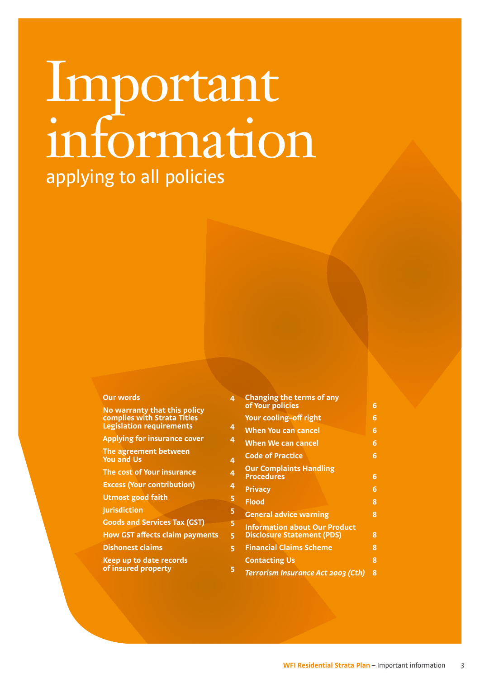# <span id="page-10-0"></span>Important information applying to all policies

## **Our words 4**

| No warranty that this policy<br>complies with Strata Titles |   |
|-------------------------------------------------------------|---|
| <b>Legislation requirements</b>                             | 4 |
| <b>Applying for insurance cover</b>                         | 4 |
| The agreement between                                       |   |
| <b>You and Us</b>                                           | 4 |
| The cost of Your insurance                                  | 4 |
| <b>Excess (Your contribution)</b>                           | 4 |
| <b>Utmost good faith</b>                                    | 5 |
| <b>Jurisdiction</b>                                         | 5 |
| <b>Goods and Services Tax (GST)</b>                         | 5 |
| <b>How GST affects claim payments</b>                       | 5 |
| <b>Dishonest claims</b>                                     | 5 |
| <b>Keep up to date records</b>                              |   |
| of insured property                                         | 5 |

| <b>Changing the terms of any</b>     |   |
|--------------------------------------|---|
| of Your policies                     | 6 |
| Your cooling-off right               | 6 |
| When You can cancel                  | 6 |
| When We can cancel                   | 6 |
| <b>Code of Practice</b>              | 6 |
| <b>Our Complaints Handling</b>       |   |
| <b>Procedures</b>                    | 6 |
| <b>Privacy</b>                       | 6 |
| Flood                                | 8 |
| <b>General advice warning</b>        | 8 |
| <b>Information about Our Product</b> |   |
| <b>Disclosure Statement (PDS)</b>    | 8 |
| <b>Financial Claims Scheme</b>       | 8 |
| <b>Contacting Us</b>                 | 8 |
| Terrorism Insurance Act 2003 (Cth)   | 8 |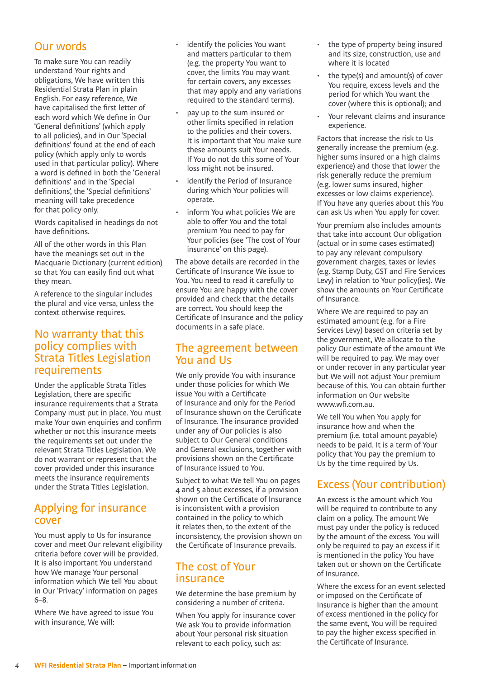## <span id="page-11-0"></span>Our words

To make sure You can readily understand Your rights and obligations, We have written this Residential Strata Plan in plain English. For easy reference, We have capitalised the first letter of each word which We define in Our 'General definitions' (which apply to all policies), and in Our 'Special definitions' found at the end of each policy (which apply only to words used in that particular policy). Where a word is defined in both the 'General definitions' and in the 'Special definitions', the 'Special definitions' meaning will take precedence for that policy only.

Words capitalised in headings do not have definitions.

All of the other words in this Plan have the meanings set out in the Macquarie Dictionary (current edition) so that You can easily find out what they mean.

A reference to the singular includes the plural and vice versa, unless the context otherwise requires.

## No warranty that this policy complies with Strata Titles Legislation requirements

Under the applicable Strata Titles Legislation, there are specific insurance requirements that a Strata Company must put in place. You must make Your own enquiries and confirm whether or not this insurance meets the requirements set out under the relevant Strata Titles Legislation. We do not warrant or represent that the cover provided under this insurance meets the insurance requirements under the Strata Titles Legislation.

## Applying for insurance cover

You must apply to Us for insurance cover and meet Our relevant eligibility criteria before cover will be provided. It is also important You understand how We manage Your personal information which We tell You about in Our 'Privacy' information on pages 6–8.

Where We have agreed to issue You with insurance, We will:

- identify the policies You want and matters particular to them (e.g. the property You want to cover, the limits You may want for certain covers, any excesses that may apply and any variations required to the standard terms).
- pay up to the sum insured or other limits specified in relation to the policies and their covers. It is important that You make sure these amounts suit Your needs. If You do not do this some of Your loss might not be insured.
- identify the Period of Insurance during which Your policies will operate.
- inform You what policies We are able to offer You and the total premium You need to pay for Your policies (see 'The cost of Your insurance' on this page).

The above details are recorded in the Certificate of Insurance We issue to You. You need to read it carefully to ensure You are happy with the cover provided and check that the details are correct. You should keep the Certificate of Insurance and the policy documents in a safe place.

### The agreement between You and Us

We only provide You with insurance under those policies for which We issue You with a Certificate of Insurance and only for the Period of Insurance shown on the Certificate of Insurance. The insurance provided under any of Our policies is also subject to Our General conditions and General exclusions, together with provisions shown on the Certificate of Insurance issued to You.

Subject to what We tell You on pages 4 and 5 about excesses, if a provision shown on the Certificate of Insurance is inconsistent with a provision contained in the policy to which it relates then, to the extent of the inconsistency, the provision shown on the Certificate of Insurance prevails.

## The cost of Your insurance

We determine the base premium by considering a number of criteria.

When You apply for insurance cover We ask You to provide information about Your personal risk situation relevant to each policy, such as:

- the type of property being insured and its size, construction, use and where it is located
- the type(s) and amount(s) of cover You require, excess levels and the period for which You want the cover (where this is optional); and
- Your relevant claims and insurance experience.

Factors that increase the risk to Us generally increase the premium (e.g. higher sums insured or a high claims experience) and those that lower the risk generally reduce the premium (e.g. lower sums insured, higher excesses or low claims experience). If You have any queries about this You can ask Us when You apply for cover.

Your premium also includes amounts that take into account Our obligation (actual or in some cases estimated) to pay any relevant compulsory government charges, taxes or levies (e.g. Stamp Duty, GST and Fire Services Levy) in relation to Your policy(ies). We show the amounts on Your Certificate of Insurance.

Where We are required to pay an estimated amount (e.g. for a Fire Services Levy) based on criteria set by the government, We allocate to the policy Our estimate of the amount We will be required to pay. We may over or under recover in any particular year but We will not adjust Your premium because of this. You can obtain further information on Our website [www.wfi.com.au](http://www.wfi.com.au).

We tell You when You apply for insurance how and when the premium (i.e. total amount payable) needs to be paid. It is a term of Your policy that You pay the premium to Us by the time required by Us.

## Excess (Your contribution)

An excess is the amount which You will be required to contribute to any claim on a policy. The amount We must pay under the policy is reduced by the amount of the excess. You will only be required to pay an excess if it is mentioned in the policy You have taken out or shown on the Certificate of Insurance.

Where the excess for an event selected or imposed on the Certificate of Insurance is higher than the amount of excess mentioned in the policy for the same event, You will be required to pay the higher excess specified in the Certificate of Insurance.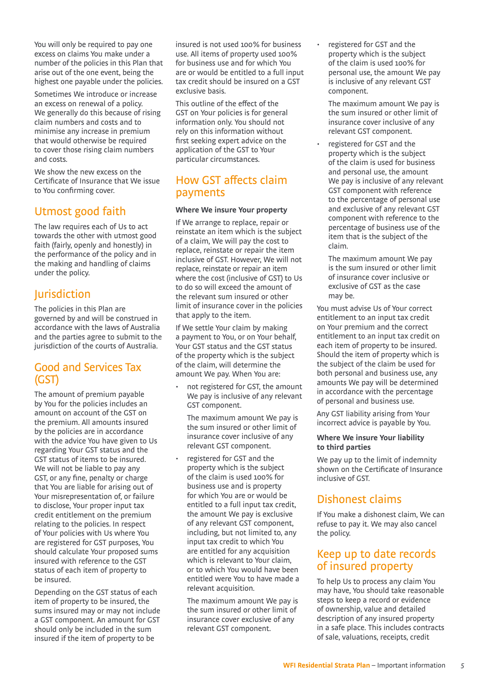<span id="page-12-0"></span>You will only be required to pay one excess on claims You make under a number of the policies in this Plan that arise out of the one event, being the highest one payable under the policies.

Sometimes We introduce or increase an excess on renewal of a policy. We generally do this because of rising claim numbers and costs and to minimise any increase in premium that would otherwise be required to cover those rising claim numbers and costs.

We show the new excess on the Certificate of Insurance that We issue to You confirming cover.

## Utmost good faith

The law requires each of Us to act towards the other with utmost good faith (fairly, openly and honestly) in the performance of the policy and in the making and handling of claims under the policy.

## Jurisdiction

The policies in this Plan are governed by and will be construed in accordance with the laws of Australia and the parties agree to submit to the jurisdiction of the courts of Australia.

## Good and Services Tax (GST)

The amount of premium payable by You for the policies includes an amount on account of the GST on the premium. All amounts insured by the policies are in accordance with the advice You have given to Us regarding Your GST status and the GST status of items to be insured. We will not be liable to pay any GST, or any fine, penalty or charge that You are liable for arising out of Your misrepresentation of, or failure to disclose, Your proper input tax credit entitlement on the premium relating to the policies. In respect of Your policies with Us where You are registered for GST purposes, You should calculate Your proposed sums insured with reference to the GST status of each item of property to be insured.

Depending on the GST status of each item of property to be insured, the sums insured may or may not include a GST component. An amount for GST should only be included in the sum insured if the item of property to be

insured is not used 100% for business use. All items of property used 100% for business use and for which You are or would be entitled to a full input tax credit should be insured on a GST exclusive basis.

This outline of the effect of the GST on Your policies is for general information only. You should not rely on this information without first seeking expert advice on the application of the GST to Your particular circumstances.

## How GST affects claim payments

#### **Where We insure Your property**

If We arrange to replace, repair or reinstate an item which is the subject of a claim, We will pay the cost to replace, reinstate or repair the item inclusive of GST. However, We will not replace, reinstate or repair an item where the cost (inclusive of GST) to Us to do so will exceed the amount of the relevant sum insured or other limit of insurance cover in the policies that apply to the item.

If We settle Your claim by making a payment to You, or on Your behalf, Your GST status and the GST status of the property which is the subject of the claim, will determine the amount We pay. When You are:

not registered for GST, the amount We pay is inclusive of any relevant GST component.

The maximum amount We pay is the sum insured or other limit of insurance cover inclusive of any relevant GST component.

• registered for GST and the property which is the subject of the claim is used 100% for business use and is property for which You are or would be entitled to a full input tax credit, the amount We pay is exclusive of any relevant GST component, including, but not limited to, any input tax credit to which You are entitled for any acquisition which is relevant to Your claim, or to which You would have been entitled were You to have made a relevant acquisition.

The maximum amount We pay is the sum insured or other limit of insurance cover exclusive of any relevant GST component.

registered for GST and the property which is the subject of the claim is used 100% for personal use, the amount We pay is inclusive of any relevant GST component.

The maximum amount We pay is the sum insured or other limit of insurance cover inclusive of any relevant GST component.

registered for GST and the property which is the subject of the claim is used for business and personal use, the amount We pay is inclusive of any relevant GST component with reference to the percentage of personal use and exclusive of any relevant GST component with reference to the percentage of business use of the item that is the subject of the claim.

The maximum amount We pay is the sum insured or other limit of insurance cover inclusive or exclusive of GST as the case may be.

You must advise Us of Your correct entitlement to an input tax credit on Your premium and the correct entitlement to an input tax credit on each item of property to be insured. Should the item of property which is the subject of the claim be used for both personal and business use, any amounts We pay will be determined in accordance with the percentage of personal and business use.

Any GST liability arising from Your incorrect advice is payable by You.

#### **Where We insure Your liability to third parties**

We pay up to the limit of indemnity shown on the Certificate of Insurance inclusive of GST.

## Dishonest claims

If You make a dishonest claim, We can refuse to pay it. We may also cancel the policy.

## Keep up to date records of insured property

To help Us to process any claim You may have, You should take reasonable steps to keep a record or evidence of ownership, value and detailed description of any insured property in a safe place. This includes contracts of sale, valuations, receipts, credit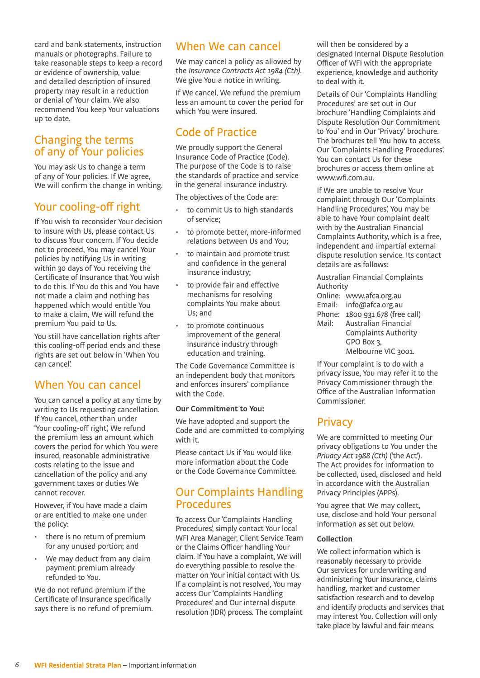<span id="page-13-0"></span>card and bank statements, instruction manuals or photographs. Failure to take reasonable steps to keep a record or evidence of ownership, value and detailed description of insured property may result in a reduction or denial of Your claim. We also recommend You keep Your valuations up to date.

## Changing the terms of any of Your policies

You may ask Us to change a term of any of Your policies. If We agree, We will confirm the change in writing.

## Your cooling-off right

If You wish to reconsider Your decision to insure with Us, please contact Us to discuss Your concern. If You decide not to proceed, You may cancel Your policies by notifying Us in writing within 30 days of You receiving the Certificate of Insurance that You wish to do this. If You do this and You have not made a claim and nothing has happened which would entitle You to make a claim, We will refund the premium You paid to Us.

You still have cancellation rights after this cooling-off period ends and these rights are set out below in 'When You can cancel'.

## When You can cancel

You can cancel a policy at any time by writing to Us requesting cancellation. If You cancel, other than under 'Your cooling-off right', We refund the premium less an amount which covers the period for which You were insured, reasonable administrative costs relating to the issue and cancellation of the policy and any government taxes or duties We cannot recover.

However, if You have made a claim or are entitled to make one under the policy:

- there is no return of premium for any unused portion; and
- We may deduct from any claim payment premium already refunded to You.

We do not refund premium if the Certificate of Insurance specifically says there is no refund of premium.

## When We can cancel

We may cancel a policy as allowed by the Insurance Contracts Act 1984 (Cth). We give You a notice in writing.

If We cancel, We refund the premium less an amount to cover the period for which You were insured.

## Code of Practice

We proudly support the General Insurance Code of Practice (Code). The purpose of the Code is to raise the standards of practice and service in the general insurance industry.

The objectives of the Code are:

- to commit Us to high standards of service;
- to promote better, more-informed relations between Us and You;
- to maintain and promote trust and confidence in the general insurance industry;
- to provide fair and effective mechanisms for resolving complaints You make about Us; and
- to promote continuous improvement of the general insurance industry through education and training.

The Code Governance Committee is an independent body that monitors and enforces insurers' compliance with the Code.

#### **Our Commitment to You:**

We have adopted and support the Code and are committed to complying with it.

Please contact Us if You would like more information about the Code or the Code Governance Committee.

## Our Complaints Handling Procedures

To access Our 'Complaints Handling Procedures', simply contact Your local WFI Area Manager, Client Service Team or the Claims Officer handling Your claim. If You have a complaint, We will do everything possible to resolve the matter on Your initial contact with Us. If a complaint is not resolved, You may access Our 'Complaints Handling Procedures' and Our internal dispute resolution (IDR) process. The complaint

will then be considered by a designated Internal Dispute Resolution Officer of WFI with the appropriate experience, knowledge and authority to deal with it.

Details of Our 'Complaints Handling Procedures' are set out in Our brochure 'Handling Complaints and Dispute Resolution Our Commitment to You' and in Our 'Privacy' brochure. The brochures tell You how to access Our 'Complaints Handling Procedures'. You can contact Us for these brochures or access them online at [www.wfi.com.au](http://www.wfi.com.au).

If We are unable to resolve Your complaint through Our 'Complaints Handling Procedures', You may be able to have Your complaint dealt with by the Australian Financial Complaints Authority, which is a free, independent and impartial external dispute resolution service. Its contact details are as follows:

Australian Financial Complaints Authority

Online: [www.afca.org.au](http://www.afca.org.au) Email: info@afca.org.au Phone: 1800 931 678 (free call) Mail: Australian Financial Complaints Authority GPO Box 3, Melbourne VIC 3001.

If Your complaint is to do with a privacy issue, You may refer it to the Privacy Commissioner through the Office of the Australian Information Commissioner.

## **Privacy**

We are committed to meeting Our privacy obligations to You under the Privacy Act 1988 (Cth) ('the Act'). The Act provides for information to be collected, used, disclosed and held in accordance with the Australian Privacy Principles (APPs).

You agree that We may collect, use, disclose and hold Your personal information as set out below.

#### **Collection**

We collect information which is reasonably necessary to provide Our services for underwriting and administering Your insurance, claims handling, market and customer satisfaction research and to develop and identify products and services that may interest You. Collection will only take place by lawful and fair means.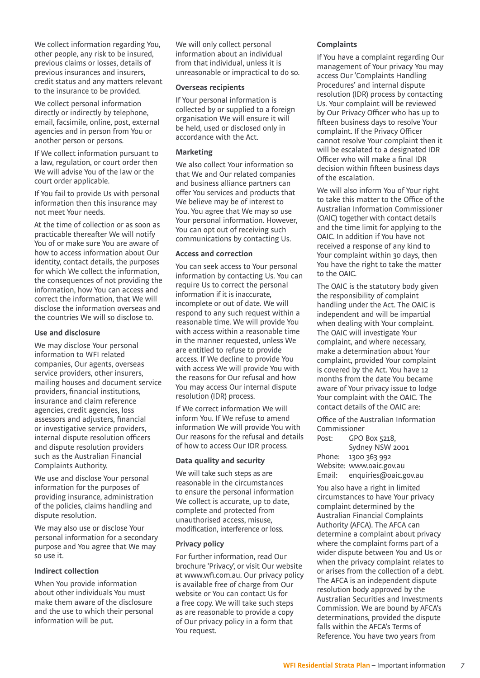We collect information regarding You, other people, any risk to be insured, previous claims or losses, details of previous insurances and insurers, credit status and any matters relevant to the insurance to be provided.

We collect personal information directly or indirectly by telephone, email, facsimile, online, post, external agencies and in person from You or another person or persons.

If We collect information pursuant to a law, regulation, or court order then We will advise You of the law or the court order applicable.

If You fail to provide Us with personal information then this insurance may not meet Your needs.

At the time of collection or as soon as practicable thereafter We will notify You of or make sure You are aware of how to access information about Our identity, contact details, the purposes for which We collect the information, the consequences of not providing the information, how You can access and correct the information, that We will disclose the information overseas and the countries We will so disclose to.

#### **Use and disclosure**

We may disclose Your personal information to WFI related companies, Our agents, overseas service providers, other insurers, mailing houses and document service providers, financial institutions, insurance and claim reference agencies, credit agencies, loss assessors and adjusters, financial or investigative service providers, internal dispute resolution officers and dispute resolution providers such as the Australian Financial Complaints Authority.

We use and disclose Your personal information for the purposes of providing insurance, administration of the policies, claims handling and dispute resolution.

We may also use or disclose Your personal information for a secondary purpose and You agree that We may so use it.

#### **Indirect collection**

When You provide information about other individuals You must make them aware of the disclosure and the use to which their personal information will be put.

We will only collect personal information about an individual from that individual, unless it is unreasonable or impractical to do so.

#### **Overseas recipients**

If Your personal information is collected by or supplied to a foreign organisation We will ensure it will be held, used or disclosed only in accordance with the Act.

#### **Marketing**

We also collect Your information so that We and Our related companies and business alliance partners can offer You services and products that We believe may be of interest to You. You agree that We may so use Your personal information. However, You can opt out of receiving such communications by contacting Us.

#### **Access and correction**

You can seek access to Your personal information by contacting Us. You can require Us to correct the personal information if it is inaccurate, incomplete or out of date. We will respond to any such request within a reasonable time. We will provide You with access within a reasonable time in the manner requested, unless We are entitled to refuse to provide access. If We decline to provide You with access We will provide You with the reasons for Our refusal and how You may access Our internal dispute resolution (IDR) process.

If We correct information We will inform You. If We refuse to amend information We will provide You with Our reasons for the refusal and details of how to access Our IDR process.

#### **Data quality and security**

We will take such steps as are reasonable in the circumstances to ensure the personal information We collect is accurate, up to date, complete and protected from unauthorised access, misuse, modification, interference or loss.

#### **Privacy policy**

For further information, read Our brochure 'Privacy', or visit Our website at [www.wfi.com.au.](http://www.wfi.com.au) Our privacy policy is available free of charge from Our website or You can contact Us for a free copy. We will take such steps as are reasonable to provide a copy of Our privacy policy in a form that You request.

#### **Complaints**

If You have a complaint regarding Our management of Your privacy You may access Our 'Complaints Handling Procedures' and internal dispute resolution (IDR) process by contacting Us. Your complaint will be reviewed by Our Privacy Officer who has up to fifteen business days to resolve Your complaint. If the Privacy Officer cannot resolve Your complaint then it will be escalated to a designated IDR Officer who will make a final IDR decision within fifteen business days of the escalation.

We will also inform You of Your right to take this matter to the Office of the Australian Information Commissioner (OAIC) together with contact details and the time limit for applying to the OAIC. In addition if You have not received a response of any kind to Your complaint within 30 days, then You have the right to take the matter to the OAIC.

The OAIC is the statutory body given the responsibility of complaint handling under the Act. The OAIC is independent and will be impartial when dealing with Your complaint. The OAIC will investigate Your complaint, and where necessary, make a determination about Your complaint, provided Your complaint is covered by the Act. You have 12 months from the date You became aware of Your privacy issue to lodge Your complaint with the OAIC. The contact details of the OAIC are:

Office of the Australian Information Commissioner

| Post: | GPO Box 5218,                |
|-------|------------------------------|
|       | Sydney NSW 2001              |
|       | Phone: 1300 363 992          |
|       | Website: www.oaic.gov.au     |
|       | Email: enquiries@oaic.gov.au |

You also have a right in limited circumstances to have Your privacy complaint determined by the Australian Financial Complaints Authority (AFCA). The AFCA can determine a complaint about privacy where the complaint forms part of a wider dispute between You and Us or when the privacy complaint relates to or arises from the collection of a debt. The AFCA is an independent dispute resolution body approved by the Australian Securities and Investments Commission. We are bound by AFCA's determinations, provided the dispute falls within the AFCA's Terms of Reference. You have two years from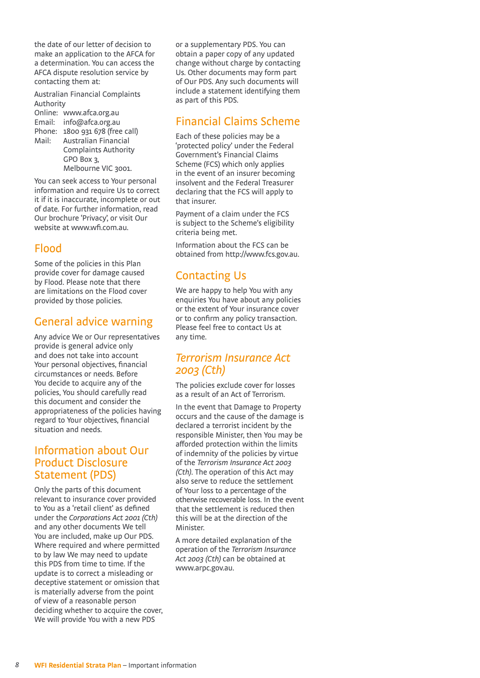<span id="page-15-0"></span>the date of our letter of decision to make an application to the AFCA for a determination. You can access the AFCA dispute resolution service by contacting them at:

Australian Financial Complaints Authority

Online: [www.afca.org.au](http://www.afca.org.au) Email: info@afca.org.au Phone: 1800 931 678 (free call) Mail: Australian Financial Complaints Authority GPO Box 3, Melbourne VIC 3001.

You can seek access to Your personal information and require Us to correct it if it is inaccurate, incomplete or out of date. For further information, read Our brochure 'Privacy', or visit Our website at [www.wfi.com.au](http://www.wfi.com.au).

## Flood

Some of the policies in this Plan provide cover for damage caused by Flood. Please note that there are limitations on the Flood cover provided by those policies.

## General advice warning

Any advice We or Our representatives provide is general advice only and does not take into account Your personal objectives, financial circumstances or needs. Before You decide to acquire any of the policies, You should carefully read this document and consider the appropriateness of the policies having regard to Your objectives, financial situation and needs.

## Information about Our Product Disclosure Statement (PDS)

Only the parts of this document relevant to insurance cover provided to You as a 'retail client' as defined under the Corporations Act 2001 (Cth) and any other documents We tell You are included, make up Our PDS. Where required and where permitted to by law We may need to update this PDS from time to time. If the update is to correct a misleading or deceptive statement or omission that is materially adverse from the point of view of a reasonable person deciding whether to acquire the cover, We will provide You with a new PDS

or a supplementary PDS. You can obtain a paper copy of any updated change without charge by contacting Us. Other documents may form part of Our PDS. Any such documents will include a statement identifying them as part of this PDS.

## Financial Claims Scheme

Each of these policies may be a 'protected policy' under the Federal Government's Financial Claims Scheme (FCS) which only applies in the event of an insurer becoming insolvent and the Federal Treasurer declaring that the FCS will apply to that insurer.

Payment of a claim under the FCS is subject to the Scheme's eligibility criteria being met.

Information about the FCS can be obtained from <http://www.fcs.gov.au>.

## Contacting Us

We are happy to help You with any enquiries You have about any policies or the extent of Your insurance cover or to confirm any policy transaction. Please feel free to contact Us at any time.

## Terrorism Insurance Act 2003 (Cth)

The policies exclude cover for losses as a result of an Act of Terrorism.

In the event that Damage to Property occurs and the cause of the damage is declared a terrorist incident by the responsible Minister, then You may be afforded protection within the limits of indemnity of the policies by virtue of the Terrorism Insurance Act 2003 (Cth). The operation of this Act may also serve to reduce the settlement of Your loss to a percentage of the otherwise recoverable loss. In the event that the settlement is reduced then this will be at the direction of the Minister.

A more detailed explanation of the operation of the Terrorism Insurance Act 2003 (Cth) can be obtained at [www.arpc.gov.au.](http://www.arpc.gov.au)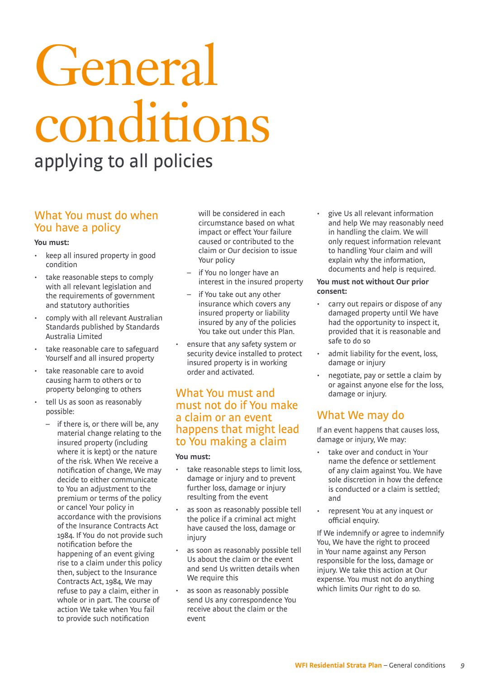# <span id="page-16-0"></span>General conditions applying to all policies

## What You must do when You have a policy

#### **You must:**

- keep all insured property in good condition
- take reasonable steps to comply with all relevant legislation and the requirements of government and statutory authorities
- comply with all relevant Australian Standards published by Standards Australia Limited
- take reasonable care to safeguard Yourself and all insured property
- take reasonable care to avoid causing harm to others or to property belonging to others
- tell Us as soon as reasonably possible:
	- if there is, or there will be, any material change relating to the insured property (including where it is kept) or the nature of the risk. When We receive a notification of change, We may decide to either communicate to You an adjustment to the premium or terms of the policy or cancel Your policy in accordance with the provisions of the Insurance Contracts Act 1984. If You do not provide such notification before the happening of an event giving rise to a claim under this policy then, subject to the Insurance Contracts Act, 1984, We may refuse to pay a claim, either in whole or in part. The course of action We take when You fail to provide such notification

will be considered in each circumstance based on what impact or effect Your failure caused or contributed to the claim or Our decision to issue Your policy

- if You no longer have an interest in the insured property
- if You take out any other insurance which covers any insured property or liability insured by any of the policies You take out under this Plan.
- ensure that any safety system or security device installed to protect insured property is in working order and activated.

## What You must and must not do if You make a claim or an event happens that might lead to You making a claim

#### **You must:**

- take reasonable steps to limit loss, damage or injury and to prevent further loss, damage or injury resulting from the event
- as soon as reasonably possible tell the police if a criminal act might have caused the loss, damage or injury
- as soon as reasonably possible tell Us about the claim or the event and send Us written details when We require this
- as soon as reasonably possible send Us any correspondence You receive about the claim or the event

• give Us all relevant information and help We may reasonably need in handling the claim. We will only request information relevant to handling Your claim and will explain why the information, documents and help is required.

#### **You must not without Our prior consent:**

- carry out repairs or dispose of any damaged property until We have had the opportunity to inspect it, provided that it is reasonable and safe to do so
- admit liability for the event, loss, damage or injury
- negotiate, pay or settle a claim by or against anyone else for the loss, damage or injury.

## What We may do

If an event happens that causes loss, damage or injury, We may:

- take over and conduct in Your name the defence or settlement of any claim against You. We have sole discretion in how the defence is conducted or a claim is settled; and
- represent You at any inquest or official enquiry.

If We indemnify or agree to indemnify You, We have the right to proceed in Your name against any Person responsible for the loss, damage or injury. We take this action at Our expense. You must not do anything which limits Our right to do so.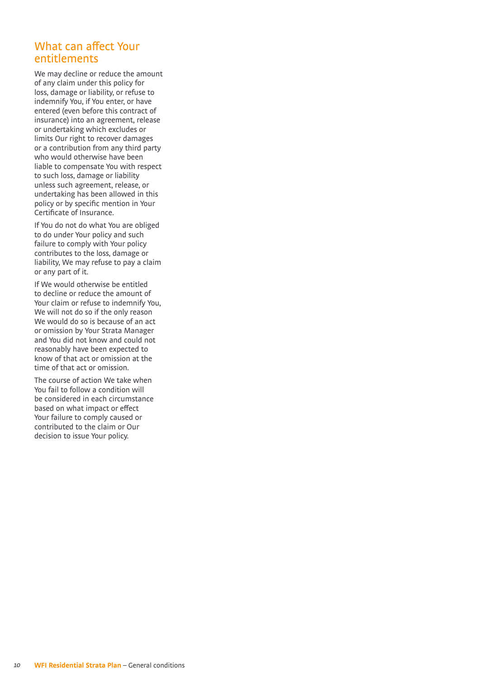## <span id="page-17-0"></span>What can affect Your entitlements

We may decline or reduce the amount of any claim under this policy for loss, damage or liability, or refuse to indemnify You, if You enter, or have entered (even before this contract of insurance) into an agreement, release or undertaking which excludes or limits Our right to recover damages or a contribution from any third party who would otherwise have been liable to compensate You with respect to such loss, damage or liability unless such agreement, release, or undertaking has been allowed in this policy or by specific mention in Your Certificate of Insurance.

If You do not do what You are obliged to do under Your policy and such failure to comply with Your policy contributes to the loss, damage or liability, We may refuse to pay a claim or any part of it.

If We would otherwise be entitled to decline or reduce the amount of Your claim or refuse to indemnify You, We will not do so if the only reason We would do so is because of an act or omission by Your Strata Manager and You did not know and could not reasonably have been expected to know of that act or omission at the time of that act or omission.

The course of action We take when You fail to follow a condition will be considered in each circumstance based on what impact or effect Your failure to comply caused or contributed to the claim or Our decision to issue Your policy.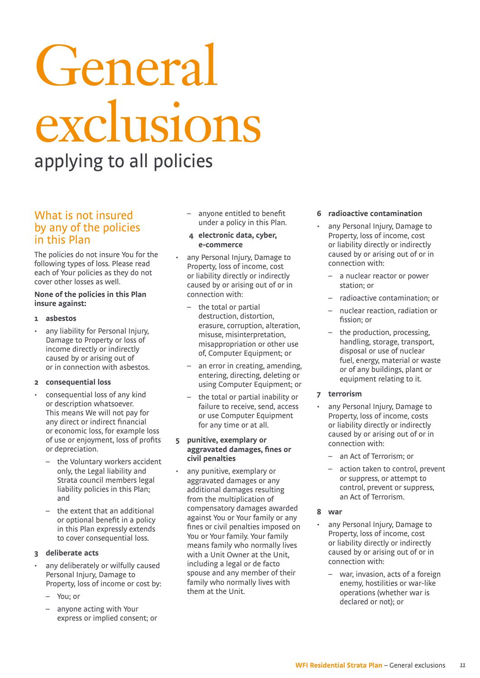# <span id="page-18-0"></span>General exclusions applying to all policies

## What is not insured by any of the policies in this Plan

The policies do not insure You for the following types of loss. Please read each of Your policies as they do not cover other losses as well.

#### **None of the policies in this Plan insure against:**

#### **1 asbestos**

any liability for Personal Injury, Damage to Property or loss of income directly or indirectly caused by or arising out of or in connection with asbestos.

#### **2 consequential loss**

- consequential loss of any kind or description whatsoever. This means We will not pay for any direct or indirect financial or economic loss, for example loss of use or enjoyment, loss of profits or depreciation.
	- the Voluntary workers accident only, the Legal liability and Strata council members legal liability policies in this Plan; and
	- the extent that an additional or optional benefit in a policy in this Plan expressly extends to cover consequential loss.

#### **3 deliberate acts**

- any deliberately or wilfully caused Personal Injury, Damage to Property, loss of income or cost by:
	- You; or
	- anyone acting with Your express or implied consent; or
- anyone entitled to benefit under a policy in this Plan.
- **4 electronic data, cyber, e-commerce**
- any Personal Injury, Damage to Property, loss of income, cost or liability directly or indirectly caused by or arising out of or in connection with:
	- the total or partial destruction, distortion, erasure, corruption, alteration, misuse, misinterpretation, misappropriation or other use of, Computer Equipment; or
	- an error in creating, amending, entering, directing, deleting or using Computer Equipment; or
	- the total or partial inability or failure to receive, send, access or use Computer Equipment for any time or at all.

#### **5 punitive, exemplary or aggravated damages, fines or civil penalties**

• any punitive, exemplary or aggravated damages or any additional damages resulting from the multiplication of compensatory damages awarded against You or Your family or any fines or civil penalties imposed on You or Your family. Your family means family who normally lives with a Unit Owner at the Unit, including a legal or de facto spouse and any member of their family who normally lives with them at the Unit.

#### **6 radioactive contamination**

- any Personal Injury, Damage to Property, loss of income, cost or liability directly or indirectly caused by or arising out of or in connection with:
	- a nuclear reactor or power station; or
	- radioactive contamination; or
	- nuclear reaction, radiation or fission; or
	- the production, processing, handling, storage, transport, disposal or use of nuclear fuel, energy, material or waste or of any buildings, plant or equipment relating to it.

#### **7 terrorism**

- any Personal Injury, Damage to Property, loss of income, costs or liability directly or indirectly caused by or arising out of or in connection with:
	- an Act of Terrorism; or
	- action taken to control, prevent or suppress, or attempt to control, prevent or suppress, an Act of Terrorism.

#### **8 war**

- any Personal Injury, Damage to Property, loss of income, cost or liability directly or indirectly caused by or arising out of or in connection with:
	- war, invasion, acts of a foreign enemy, hostilities or war-like operations (whether war is declared or not); or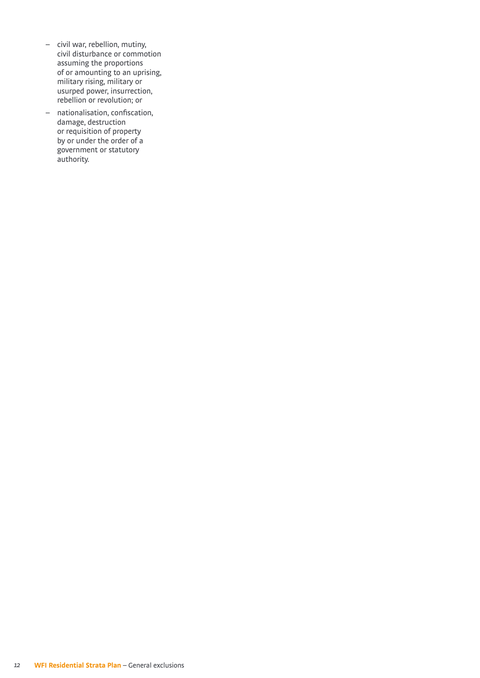- civil war, rebellion, mutiny, civil disturbance or commotion assuming the proportions of or amounting to an uprising, military rising, military or usurped power, insurrection, rebellion or revolution; or
- nationalisation, confiscation, damage, destruction or requisition of property by or under the order of a government or statutory authority.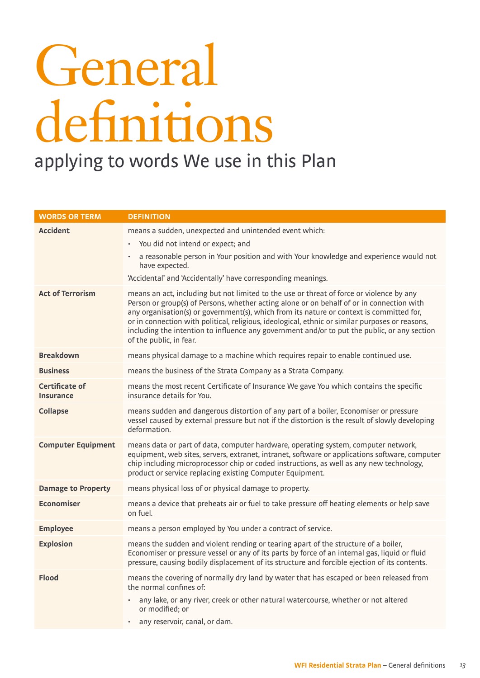# <span id="page-20-0"></span>General definitions

# applying to words We use in this Plan

| <b>WORDS OR TERM</b>                      | <b>DEFINITION</b>                                                                                                                                                                                                                                                                                                                                                                                                                                                                                               |
|-------------------------------------------|-----------------------------------------------------------------------------------------------------------------------------------------------------------------------------------------------------------------------------------------------------------------------------------------------------------------------------------------------------------------------------------------------------------------------------------------------------------------------------------------------------------------|
| <b>Accident</b>                           | means a sudden, unexpected and unintended event which:<br>You did not intend or expect; and<br>$\bullet$                                                                                                                                                                                                                                                                                                                                                                                                        |
|                                           | a reasonable person in Your position and with Your knowledge and experience would not<br>have expected.                                                                                                                                                                                                                                                                                                                                                                                                         |
|                                           | 'Accidental' and 'Accidentally' have corresponding meanings.                                                                                                                                                                                                                                                                                                                                                                                                                                                    |
| <b>Act of Terrorism</b>                   | means an act, including but not limited to the use or threat of force or violence by any<br>Person or group(s) of Persons, whether acting alone or on behalf of or in connection with<br>any organisation(s) or government(s), which from its nature or context is committed for,<br>or in connection with political, religious, ideological, ethnic or similar purposes or reasons,<br>including the intention to influence any government and/or to put the public, or any section<br>of the public, in fear. |
| <b>Breakdown</b>                          | means physical damage to a machine which requires repair to enable continued use.                                                                                                                                                                                                                                                                                                                                                                                                                               |
| <b>Business</b>                           | means the business of the Strata Company as a Strata Company.                                                                                                                                                                                                                                                                                                                                                                                                                                                   |
| <b>Certificate of</b><br><b>Insurance</b> | means the most recent Certificate of Insurance We gave You which contains the specific<br>insurance details for You.                                                                                                                                                                                                                                                                                                                                                                                            |
| <b>Collapse</b>                           | means sudden and dangerous distortion of any part of a boiler, Economiser or pressure<br>vessel caused by external pressure but not if the distortion is the result of slowly developing<br>deformation.                                                                                                                                                                                                                                                                                                        |
| <b>Computer Equipment</b>                 | means data or part of data, computer hardware, operating system, computer network,<br>equipment, web sites, servers, extranet, intranet, software or applications software, computer<br>chip including microprocessor chip or coded instructions, as well as any new technology,<br>product or service replacing existing Computer Equipment.                                                                                                                                                                   |
| <b>Damage to Property</b>                 | means physical loss of or physical damage to property.                                                                                                                                                                                                                                                                                                                                                                                                                                                          |
| <b>Economiser</b>                         | means a device that preheats air or fuel to take pressure off heating elements or help save<br>on fuel.                                                                                                                                                                                                                                                                                                                                                                                                         |
| <b>Employee</b>                           | means a person employed by You under a contract of service.                                                                                                                                                                                                                                                                                                                                                                                                                                                     |
| <b>Explosion</b>                          | means the sudden and violent rending or tearing apart of the structure of a boiler,<br>Economiser or pressure vessel or any of its parts by force of an internal gas, liquid or fluid<br>pressure, causing bodily displacement of its structure and forcible ejection of its contents.                                                                                                                                                                                                                          |
| <b>Flood</b>                              | means the covering of normally dry land by water that has escaped or been released from<br>the normal confines of:                                                                                                                                                                                                                                                                                                                                                                                              |
|                                           | any lake, or any river, creek or other natural watercourse, whether or not altered<br>or modified; or                                                                                                                                                                                                                                                                                                                                                                                                           |
|                                           | any reservoir, canal, or dam.                                                                                                                                                                                                                                                                                                                                                                                                                                                                                   |
|                                           |                                                                                                                                                                                                                                                                                                                                                                                                                                                                                                                 |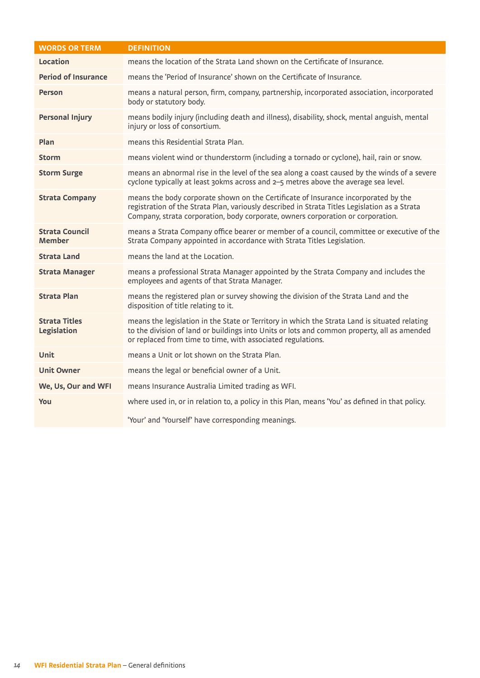| <b>WORDS OR TERM</b>                   | <b>DEFINITION</b>                                                                                                                                                                                                                                                      |
|----------------------------------------|------------------------------------------------------------------------------------------------------------------------------------------------------------------------------------------------------------------------------------------------------------------------|
| Location                               | means the location of the Strata Land shown on the Certificate of Insurance.                                                                                                                                                                                           |
| <b>Period of Insurance</b>             | means the 'Period of Insurance' shown on the Certificate of Insurance.                                                                                                                                                                                                 |
| <b>Person</b>                          | means a natural person, firm, company, partnership, incorporated association, incorporated<br>body or statutory body.                                                                                                                                                  |
| <b>Personal Injury</b>                 | means bodily injury (including death and illness), disability, shock, mental anguish, mental<br>injury or loss of consortium.                                                                                                                                          |
| Plan                                   | means this Residential Strata Plan.                                                                                                                                                                                                                                    |
| <b>Storm</b>                           | means violent wind or thunderstorm (including a tornado or cyclone), hail, rain or snow.                                                                                                                                                                               |
| <b>Storm Surge</b>                     | means an abnormal rise in the level of the sea along a coast caused by the winds of a severe<br>cyclone typically at least 30kms across and 2-5 metres above the average sea level.                                                                                    |
| <b>Strata Company</b>                  | means the body corporate shown on the Certificate of Insurance incorporated by the<br>registration of the Strata Plan, variously described in Strata Titles Legislation as a Strata<br>Company, strata corporation, body corporate, owners corporation or corporation. |
| <b>Strata Council</b><br><b>Member</b> | means a Strata Company office bearer or member of a council, committee or executive of the<br>Strata Company appointed in accordance with Strata Titles Legislation.                                                                                                   |
| <b>Strata Land</b>                     | means the land at the Location.                                                                                                                                                                                                                                        |
| <b>Strata Manager</b>                  | means a professional Strata Manager appointed by the Strata Company and includes the<br>employees and agents of that Strata Manager.                                                                                                                                   |
| <b>Strata Plan</b>                     | means the registered plan or survey showing the division of the Strata Land and the<br>disposition of title relating to it.                                                                                                                                            |
| <b>Strata Titles</b><br>Legislation    | means the legislation in the State or Territory in which the Strata Land is situated relating<br>to the division of land or buildings into Units or lots and common property, all as amended<br>or replaced from time to time, with associated regulations.            |
| <b>Unit</b>                            | means a Unit or lot shown on the Strata Plan.                                                                                                                                                                                                                          |
| <b>Unit Owner</b>                      | means the legal or beneficial owner of a Unit.                                                                                                                                                                                                                         |
| We, Us, Our and WFI                    | means Insurance Australia Limited trading as WFI.                                                                                                                                                                                                                      |
| You                                    | where used in, or in relation to, a policy in this Plan, means 'You' as defined in that policy.                                                                                                                                                                        |
|                                        | 'Your' and 'Yourself' have corresponding meanings.                                                                                                                                                                                                                     |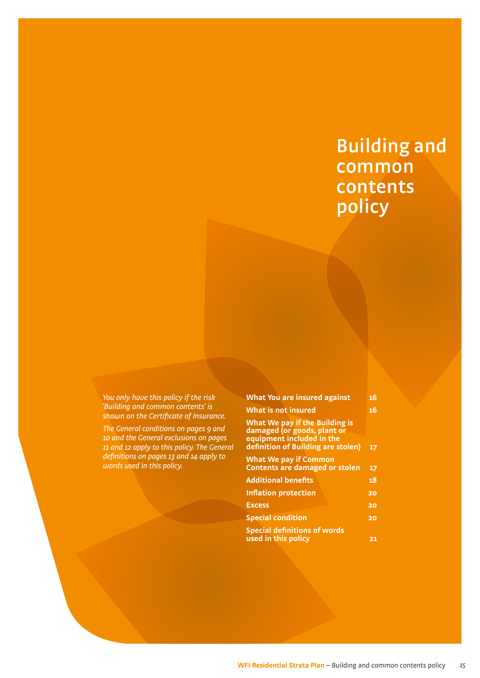# <span id="page-22-0"></span>Building and common contents policy

You only have this policy if the risk 'Building and common contents' is shown on the Certificate of Insurance.

The General conditions on pages 9 and 10 and the General exclusions on pages 11 and 12 apply to this policy. The General definitions on pages 13 and 14 apply to words used in this policy.

| <b>What You are insured against</b>                                                                                                     | 16 |
|-----------------------------------------------------------------------------------------------------------------------------------------|----|
| <b>What is not insured</b>                                                                                                              | 16 |
| <b>What We pay if the Building is</b><br>damaged (or goods, plant or<br>equipment included in the<br>definition of Building are stolen) | 17 |
| <b>What We pay if Common</b><br><b>Contents are damaged or stolen</b>                                                                   | 17 |
| <b>Additional benefits</b>                                                                                                              | 18 |
| <b>Inflation protection</b>                                                                                                             | 20 |
| <b>Excess</b>                                                                                                                           | 20 |
| <b>Special condition</b>                                                                                                                | 20 |
| <b>Special definitions of words</b><br>used in this policy                                                                              | 21 |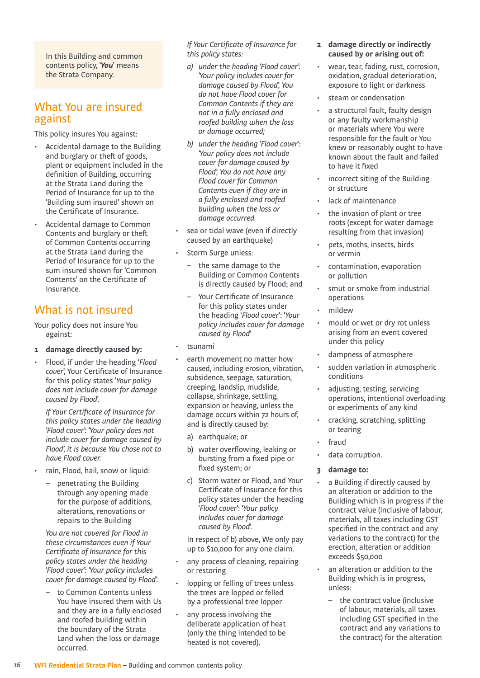<span id="page-23-0"></span>In this Building and common contents policy, '**You**' means the Strata Company.

## What You are insured against

This policy insures You against:

- Accidental damage to the Building and burglary or theft of goods, plant or equipment included in the definition of Building, occurring at the Strata Land during the Period of Insurance for up to the 'Building sum insured' shown on the Certificate of Insurance.
- Accidental damage to Common Contents and burglary or theft of Common Contents occurring at the Strata Land during the Period of Insurance for up to the sum insured shown for 'Common Contents' on the Certificate of Insurance.

## What is not insured

Your policy does not insure You against:

- **1 damage directly caused by:**
- Flood, if under the heading 'Flood cover', Your Certificate of Insurance for this policy states 'Your policy does not include cover for damage caused by Flood'.

If Your Certificate of Insurance for this policy states under the heading 'Flood cover': 'Your policy does not include cover for damage caused by Flood', it is because You chose not to have Flood cover.

- rain, Flood, hail, snow or liquid:
	- penetrating the Building through any opening made for the purpose of additions, alterations, renovations or repairs to the Building

You are not covered for Flood in these circumstances even if Your Certificate of Insurance for this policy states under the heading 'Flood cover': 'Your policy includes cover for damage caused by Flood'.

– to Common Contents unless You have insured them with Us and they are in a fully enclosed and roofed building within the boundary of the Strata Land when the loss or damage occurred.

If Your Certificate of Insurance for this policy states:

- a) under the heading 'Flood cover': 'Your policy includes cover for damage caused by Flood', You do not have Flood cover for Common Contents if they are not in a fully enclosed and roofed building when the loss or damage occurred;
- b) under the heading 'Flood cover': 'Your policy does not include cover for damage caused by Flood', You do not have any Flood cover for Common Contents even if they are in a fully enclosed and roofed building when the loss or damage occurred.
- sea or tidal wave (even if directly caused by an earthquake)
- Storm Surge unless:
	- the same damage to the Building or Common Contents is directly caused by Flood; and
	- Your Certificate of Insurance for this policy states under the heading 'Flood cover': 'Your policy includes cover for damage caused by Flood'
- tsunami
- earth movement no matter how caused, including erosion, vibration, subsidence, seepage, saturation, creeping, landslip, mudslide, collapse, shrinkage, settling, expansion or heaving, unless the damage occurs within 72 hours of, and is directly caused by:
	- a) earthquake; or
	- b) water overflowing, leaking or bursting from a fixed pipe or fixed system; or
	- c) Storm water or Flood, and Your Certificate of Insurance for this policy states under the heading 'Flood cover': 'Your policy includes cover for damage caused by Flood'.

In respect of b) above, We only pay up to \$10,000 for any one claim.

- any process of cleaning, repairing or restoring
- lopping or felling of trees unless the trees are lopped or felled by a professional tree lopper
- any process involving the deliberate application of heat (only the thing intended to be heated is not covered).
- **2 damage directly or indirectly caused by or arising out of:**
- wear, tear, fading, rust, corrosion, oxidation, gradual deterioration, exposure to light or darkness
- steam or condensation
- a structural fault, faulty design or any faulty workmanship or materials where You were responsible for the fault or You knew or reasonably ought to have known about the fault and failed to have it fixed
- incorrect siting of the Building or structure
- lack of maintenance
- the invasion of plant or tree roots (except for water damage resulting from that invasion)
- pets, moths, insects, birds or vermin
- contamination, evaporation or pollution
- smut or smoke from industrial operations
- mildew
- mould or wet or dry rot unless arising from an event covered under this policy
- dampness of atmosphere
- sudden variation in atmospheric conditions
- adjusting, testing, servicing operations, intentional overloading or experiments of any kind
- cracking, scratching, splitting or tearing
- fraud
- data corruption.
- **3 damage to:**
- a Building if directly caused by an alteration or addition to the Building which is in progress if the contract value (inclusive of labour, materials, all taxes including GST specified in the contract and any variations to the contract) for the erection, alteration or addition exceeds \$50,000
- an alteration or addition to the Building which is in progress, unless:
	- the contract value (inclusive of labour, materials, all taxes including GST specified in the contract and any variations to the contract) for the alteration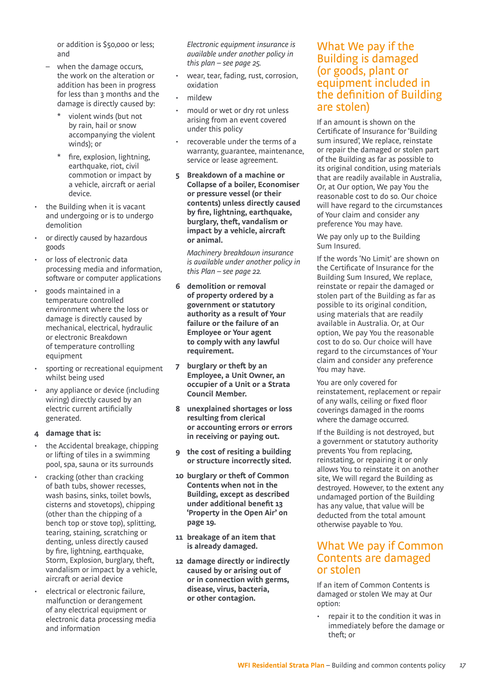<span id="page-24-0"></span>or addition is \$50,000 or less; and

- when the damage occurs, the work on the alteration or addition has been in progress for less than 3 months and the damage is directly caused by:
	- violent winds (but not by rain, hail or snow accompanying the violent winds); or
	- fire, explosion, lightning, earthquake, riot, civil commotion or impact by a vehicle, aircraft or aerial device.
- the Building when it is vacant and undergoing or is to undergo demolition
- or directly caused by hazardous goods
- or loss of electronic data processing media and information, software or computer applications
- goods maintained in a temperature controlled environment where the loss or damage is directly caused by mechanical, electrical, hydraulic or electronic Breakdown of temperature controlling equipment
- sporting or recreational equipment whilst being used
- any appliance or device (including wiring) directly caused by an electric current artificially generated.

#### **4 damage that is:**

- the Accidental breakage, chipping or lifting of tiles in a swimming pool, spa, sauna or its surrounds
- cracking (other than cracking of bath tubs, shower recesses, wash basins, sinks, toilet bowls, cisterns and stovetops), chipping (other than the chipping of a bench top or stove top), splitting, tearing, staining, scratching or denting, unless directly caused by fire, lightning, earthquake, Storm, Explosion, burglary, theft, vandalism or impact by a vehicle, aircraft or aerial device
- electrical or electronic failure, malfunction or derangement of any electrical equipment or electronic data processing media and information

Electronic equipment insurance is available under another policy in this plan – see page  $25$ .

- wear, tear, fading, rust, corrosion, oxidation
- mildew
- mould or wet or dry rot unless arising from an event covered under this policy
- recoverable under the terms of a warranty, guarantee, maintenance, service or lease agreement.
- **5 Breakdown of a machine or Collapse of a boiler, Economiser or pressure vessel (or their contents) unless directly caused by fire, lightning, earthquake, burglary, theft, vandalism or impact by a vehicle, aircraft or animal.**

Machinery breakdown insurance is available under another policy in this Plan – see page 22.

- **6 demolition or removal of property ordered by a government or statutory authority as a result of Your failure or the failure of an Employee or Your agent to comply with any lawful requirement.**
- **7 burglary or theft by an Employee, a Unit Owner, an occupier of a Unit or a Strata Council Member.**
- **8 unexplained shortages or loss resulting from clerical or accounting errors or errors in receiving or paying out.**
- **9 the cost of resiting a building or structure incorrectly sited.**
- **10 burglary or theft of Common Contents when not in the Building, except as described under additional benefit 13 'Property in the Open Air' on page 19.**
- **11 breakage of an item that is already damaged.**
- **12 damage directly or indirectly caused by or arising out of or in connection with germs, disease, virus, bacteria, or other contagion.**

## What We pay if the Building is damaged (or goods, plant or equipment included in the definition of Building are stolen)

If an amount is shown on the Certificate of Insurance for 'Building sum insured', We replace, reinstate or repair the damaged or stolen part of the Building as far as possible to its original condition, using materials that are readily available in Australia, Or, at Our option, We pay You the reasonable cost to do so. Our choice will have regard to the circumstances of Your claim and consider any preference You may have.

We pay only up to the Building Sum Insured.

If the words 'No Limit' are shown on the Certificate of Insurance for the Building Sum Insured, We replace, reinstate or repair the damaged or stolen part of the Building as far as possible to its original condition, using materials that are readily available in Australia. Or, at Our option, We pay You the reasonable cost to do so. Our choice will have regard to the circumstances of Your claim and consider any preference You may have.

You are only covered for reinstatement, replacement or repair of any walls, ceiling or fixed floor coverings damaged in the rooms where the damage occurred.

If the Building is not destroyed, but a government or statutory authority prevents You from replacing, reinstating, or repairing it or only allows You to reinstate it on another site, We will regard the Building as destroyed. However, to the extent any undamaged portion of the Building has any value, that value will be deducted from the total amount otherwise payable to You.

## What We pay if Common Contents are damaged or stolen

If an item of Common Contents is damaged or stolen We may at Our option:

• repair it to the condition it was in immediately before the damage or theft; or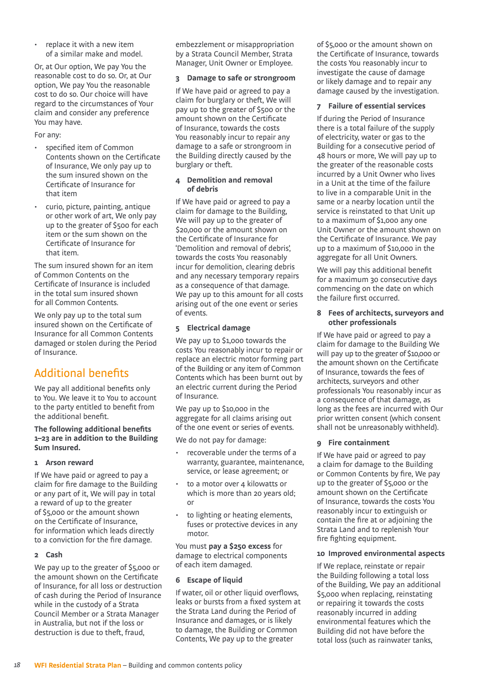<span id="page-25-0"></span>replace it with a new item of a similar make and model.

Or, at Our option, We pay You the reasonable cost to do so. Or, at Our option, We pay You the reasonable cost to do so. Our choice will have regard to the circumstances of Your claim and consider any preference You may have.

For any:

- specified item of Common Contents shown on the Certificate of Insurance, We only pay up to the sum insured shown on the Certificate of Insurance for that item
- curio, picture, painting, antique or other work of art, We only pay up to the greater of \$500 for each item or the sum shown on the Certificate of Insurance for that item.

The sum insured shown for an item of Common Contents on the Certificate of Insurance is included in the total sum insured shown for all Common Contents.

We only pay up to the total sum insured shown on the Certificate of Insurance for all Common Contents damaged or stolen during the Period of Insurance.

## Additional benefits

We pay all additional benefits only to You. We leave it to You to account to the party entitled to benefit from the additional benefit.

#### **The following additional benefits 1–23 are in addition to the Building Sum Insured.**

#### **1 Arson reward**

If We have paid or agreed to pay a claim for fire damage to the Building or any part of it, We will pay in total a reward of up to the greater of \$5,000 or the amount shown on the Certificate of Insurance, for information which leads directly to a conviction for the fire damage.

#### **2 Cash**

We pay up to the greater of \$5,000 or the amount shown on the Certificate of Insurance, for all loss or destruction of cash during the Period of Insurance while in the custody of a Strata Council Member or a Strata Manager in Australia, but not if the loss or destruction is due to theft, fraud,

embezzlement or misappropriation by a Strata Council Member, Strata Manager, Unit Owner or Employee.

#### **3 Damage to safe or strongroom**

If We have paid or agreed to pay a claim for burglary or theft, We will pay up to the greater of \$500 or the amount shown on the Certificate of Insurance, towards the costs You reasonably incur to repair any damage to a safe or strongroom in the Building directly caused by the burglary or theft.

#### **4 Demolition and removal of debris**

If We have paid or agreed to pay a claim for damage to the Building, We will pay up to the greater of \$20,000 or the amount shown on the Certificate of Insurance for 'Demolition and removal of debris', towards the costs You reasonably incur for demolition, clearing debris and any necessary temporary repairs as a consequence of that damage. We pay up to this amount for all costs arising out of the one event or series of events.

#### **5 Electrical damage**

We pay up to \$1,000 towards the costs You reasonably incur to repair or replace an electric motor forming part of the Building or any item of Common Contents which has been burnt out by an electric current during the Period of Insurance.

We pay up to \$10,000 in the aggregate for all claims arising out of the one event or series of events.

We do not pay for damage:

- recoverable under the terms of a warranty, guarantee, maintenance, service, or lease agreement; or
- to a motor over 4 kilowatts or which is more than 20 years old; or
- to lighting or heating elements, fuses or protective devices in any motor.

You must **pay a \$250 excess** for damage to electrical components of each item damaged.

#### **6 Escape of liquid**

If water, oil or other liquid overflows, leaks or bursts from a fixed system at the Strata Land during the Period of Insurance and damages, or is likely to damage, the Building or Common Contents, We pay up to the greater

of \$5,000 or the amount shown on the Certificate of Insurance, towards the costs You reasonably incur to investigate the cause of damage or likely damage and to repair any damage caused by the investigation.

#### **7 Failure of essential services**

If during the Period of Insurance there is a total failure of the supply of electricity, water or gas to the Building for a consecutive period of 48 hours or more, We will pay up to the greater of the reasonable costs incurred by a Unit Owner who lives in a Unit at the time of the failure to live in a comparable Unit in the same or a nearby location until the service is reinstated to that Unit up to a maximum of \$1,000 any one Unit Owner or the amount shown on the Certificate of Insurance. We pay up to a maximum of \$10,000 in the aggregate for all Unit Owners.

We will pay this additional benefit for a maximum 30 consecutive days commencing on the date on which the failure first occurred.

#### **8 Fees of architects, surveyors and other professionals**

If We have paid or agreed to pay a claim for damage to the Building We will pay up to the greater of \$10,000 or the amount shown on the Certificate of Insurance, towards the fees of architects, surveyors and other professionals You reasonably incur as a consequence of that damage, as long as the fees are incurred with Our prior written consent (which consent shall not be unreasonably withheld).

#### **9 Fire containment**

If We have paid or agreed to pay a claim for damage to the Building or Common Contents by fire, We pay up to the greater of \$5,000 or the amount shown on the Certificate of Insurance, towards the costs You reasonably incur to extinguish or contain the fire at or adjoining the Strata Land and to replenish Your fire fighting equipment.

#### **10 Improved environmental aspects**

If We replace, reinstate or repair the Building following a total loss of the Building, We pay an additional \$5,000 when replacing, reinstating or repairing it towards the costs reasonably incurred in adding environmental features which the Building did not have before the total loss (such as rainwater tanks,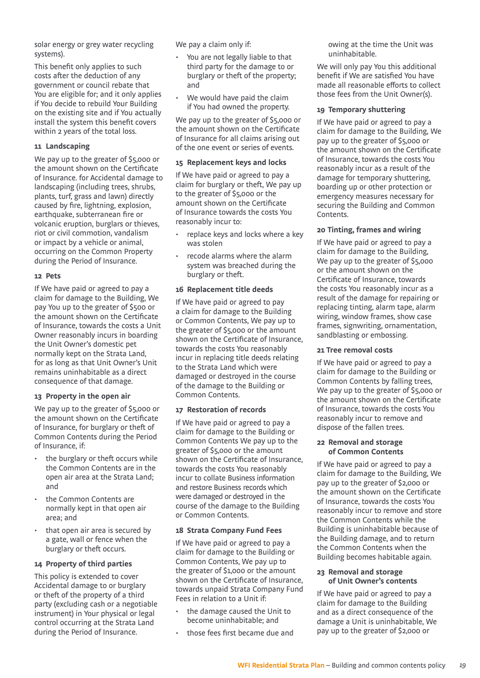solar energy or grey water recycling systems).

This benefit only applies to such costs after the deduction of any government or council rebate that You are eligible for; and it only applies if You decide to rebuild Your Building on the existing site and if You actually install the system this benefit covers within 2 years of the total loss.

#### **11 Landscaping**

We pay up to the greater of \$5,000 or the amount shown on the Certificate of Insurance. for Accidental damage to landscaping (including trees, shrubs, plants, turf, grass and lawn) directly caused by fire, lightning, explosion, earthquake, subterranean fire or volcanic eruption, burglars or thieves, riot or civil commotion, vandalism or impact by a vehicle or animal, occurring on the Common Property during the Period of Insurance.

#### **12 Pets**

If We have paid or agreed to pay a claim for damage to the Building, We pay You up to the greater of \$500 or the amount shown on the Certificate of Insurance, towards the costs a Unit Owner reasonably incurs in boarding the Unit Owner's domestic pet normally kept on the Strata Land, for as long as that Unit Owner's Unit remains uninhabitable as a direct consequence of that damage.

#### **13 Property in the open air**

We pay up to the greater of \$5,000 or the amount shown on the Certificate of Insurance, for burglary or theft of Common Contents during the Period of Insurance, if:

- the burglary or theft occurs while the Common Contents are in the open air area at the Strata Land; and
- the Common Contents are normally kept in that open air area; and
- that open air area is secured by a gate, wall or fence when the burglary or theft occurs.

#### **14 Property of third parties**

This policy is extended to cover Accidental damage to or burglary or theft of the property of a third party (excluding cash or a negotiable instrument) in Your physical or legal control occurring at the Strata Land during the Period of Insurance.

We pay a claim only if:

- You are not legally liable to that third party for the damage to or burglary or theft of the property; and
- We would have paid the claim if You had owned the property.

We pay up to the greater of \$5,000 or the amount shown on the Certificate of Insurance for all claims arising out of the one event or series of events.

#### **15 Replacement keys and locks**

If We have paid or agreed to pay a claim for burglary or theft, We pay up to the greater of \$5,000 or the amount shown on the Certificate of Insurance towards the costs You reasonably incur to:

- replace keys and locks where a key was stolen
- recode alarms where the alarm system was breached during the burglary or theft.

#### **16 Replacement title deeds**

If We have paid or agreed to pay a claim for damage to the Building or Common Contents, We pay up to the greater of \$5,000 or the amount shown on the Certificate of Insurance, towards the costs You reasonably incur in replacing title deeds relating to the Strata Land which were damaged or destroyed in the course of the damage to the Building or Common Contents.

#### **17 Restoration of records**

If We have paid or agreed to pay a claim for damage to the Building or Common Contents We pay up to the greater of \$5,000 or the amount shown on the Certificate of Insurance, towards the costs You reasonably incur to collate Business information and restore Business records which were damaged or destroyed in the course of the damage to the Building or Common Contents.

#### **18 Strata Company Fund Fees**

If We have paid or agreed to pay a claim for damage to the Building or Common Contents, We pay up to the greater of \$1,000 or the amount shown on the Certificate of Insurance, towards unpaid Strata Company Fund Fees in relation to a Unit if:

- the damage caused the Unit to become uninhabitable; and
- those fees first became due and

owing at the time the Unit was uninhabitable.

We will only pay You this additional benefit if We are satisfied You have made all reasonable efforts to collect those fees from the Unit Owner(s).

#### **19 Temporary shuttering**

If We have paid or agreed to pay a claim for damage to the Building, We pay up to the greater of \$5,000 or the amount shown on the Certificate of Insurance, towards the costs You reasonably incur as a result of the damage for temporary shuttering, boarding up or other protection or emergency measures necessary for securing the Building and Common **Contents** 

#### **20 Tinting, frames and wiring**

If We have paid or agreed to pay a claim for damage to the Building, We pay up to the greater of \$5,000 or the amount shown on the Certificate of Insurance, towards the costs You reasonably incur as a result of the damage for repairing or replacing tinting, alarm tape, alarm wiring, window frames, show case frames, signwriting, ornamentation, sandblasting or embossing.

#### **21 Tree removal costs**

If We have paid or agreed to pay a claim for damage to the Building or Common Contents by falling trees, We pay up to the greater of \$5,000 or the amount shown on the Certificate of Insurance, towards the costs You reasonably incur to remove and dispose of the fallen trees.

#### **22 Removal and storage of Common Contents**

If We have paid or agreed to pay a claim for damage to the Building, We pay up to the greater of \$2,000 or the amount shown on the Certificate of Insurance, towards the costs You reasonably incur to remove and store the Common Contents while the Building is uninhabitable because of the Building damage, and to return the Common Contents when the Building becomes habitable again.

#### **23 Removal and storage of Unit Owner's contents**

If We have paid or agreed to pay a claim for damage to the Building and as a direct consequence of the damage a Unit is uninhabitable, We pay up to the greater of \$2,000 or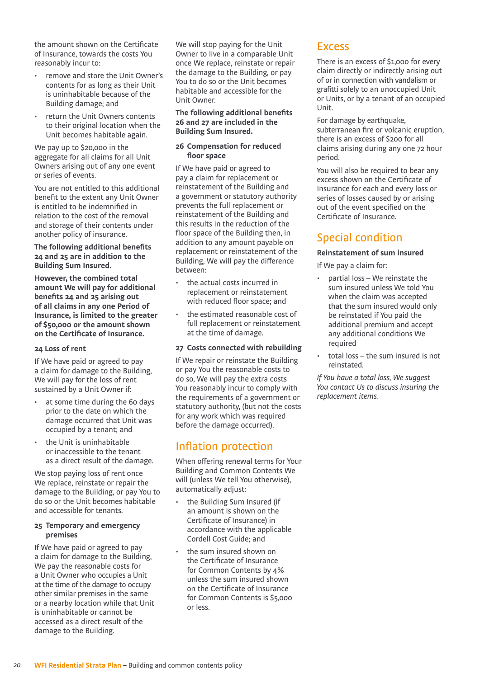<span id="page-27-0"></span>the amount shown on the Certificate of Insurance, towards the costs You reasonably incur to:

- remove and store the Unit Owner's contents for as long as their Unit is uninhabitable because of the Building damage; and
- return the Unit Owners contents to their original location when the Unit becomes habitable again.

We pay up to \$20,000 in the aggregate for all claims for all Unit Owners arising out of any one event or series of events.

You are not entitled to this additional benefit to the extent any Unit Owner is entitled to be indemnified in relation to the cost of the removal and storage of their contents under another policy of insurance.

#### **The following additional benefits 24 and 25 are in addition to the Building Sum Insured.**

**However, the combined total amount We will pay for additional benefits 24 and 25 arising out of all claims in any one Period of Insurance, is limited to the greater of \$50,000 or the amount shown on the Certificate of Insurance.**

#### **24 Loss of rent**

If We have paid or agreed to pay a claim for damage to the Building, We will pay for the loss of rent sustained by a Unit Owner if:

- at some time during the 60 days prior to the date on which the damage occurred that Unit was occupied by a tenant; and
- the Unit is uninhabitable or inaccessible to the tenant as a direct result of the damage.

We stop paying loss of rent once We replace, reinstate or repair the damage to the Building, or pay You to do so or the Unit becomes habitable and accessible for tenants.

#### **25 Temporary and emergency premises**

If We have paid or agreed to pay a claim for damage to the Building, We pay the reasonable costs for a Unit Owner who occupies a Unit at the time of the damage to occupy other similar premises in the same or a nearby location while that Unit is uninhabitable or cannot be accessed as a direct result of the damage to the Building.

We will stop paying for the Unit Owner to live in a comparable Unit once We replace, reinstate or repair the damage to the Building, or pay You to do so or the Unit becomes habitable and accessible for the Unit Owner.

#### **The following additional benefits 26 and 27 are included in the Building Sum Insured.**

#### **26 Compensation for reduced floor space**

If We have paid or agreed to pay a claim for replacement or reinstatement of the Building and a government or statutory authority prevents the full replacement or reinstatement of the Building and this results in the reduction of the floor space of the Building then, in addition to any amount payable on replacement or reinstatement of the Building, We will pay the difference between:

- the actual costs incurred in replacement or reinstatement with reduced floor space; and
- the estimated reasonable cost of full replacement or reinstatement at the time of damage.

#### **27 Costs connected with rebuilding**

If We repair or reinstate the Building or pay You the reasonable costs to do so, We will pay the extra costs You reasonably incur to comply with the requirements of a government or statutory authority, (but not the costs for any work which was required before the damage occurred).

## Inflation protection

When offering renewal terms for Your Building and Common Contents We will (unless We tell You otherwise), automatically adjust:

- the Building Sum Insured (if an amount is shown on the Certificate of Insurance) in accordance with the applicable Cordell Cost Guide; and
- the sum insured shown on the Certificate of Insurance for Common Contents by 4% unless the sum insured shown on the Certificate of Insurance for Common Contents is \$5,000 or less.

## Excess

There is an excess of \$1,000 for every claim directly or indirectly arising out of or in connection with vandalism or grafitti solely to an unoccupied Unit or Units, or by a tenant of an occupied Unit.

For damage by earthquake. subterranean fire or volcanic eruption, there is an excess of \$200 for all claims arising during any one 72 hour period.

You will also be required to bear any excess shown on the Certificate of Insurance for each and every loss or series of losses caused by or arising out of the event specified on the Certificate of Insurance.

## Special condition

#### **Reinstatement of sum insured**

If We pay a claim for:

- partial loss We reinstate the sum insured unless We told You when the claim was accepted that the sum insured would only be reinstated if You paid the additional premium and accept any additional conditions We required
- total loss the sum insured is not reinstated.

If You have a total loss, We suggest You contact Us to discuss insuring the replacement items.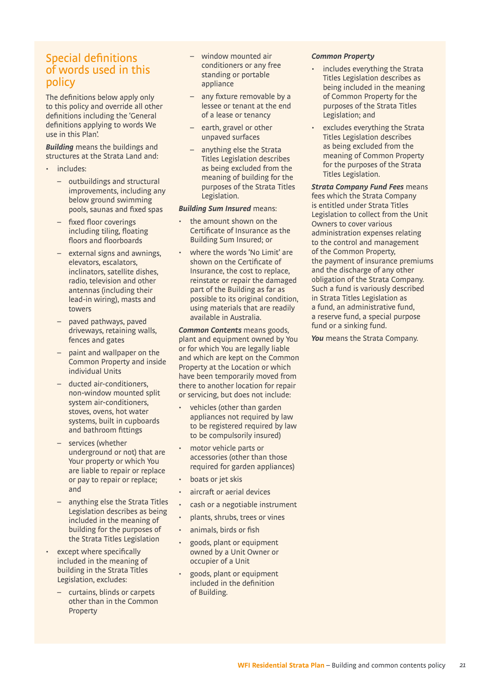## <span id="page-28-0"></span>Special definitions of words used in this policy

The definitions below apply only to this policy and override all other definitions including the 'General definitions applying to words We use in this Plan'.

**Building** means the buildings and structures at the Strata Land and:

- includes:
	- outbuildings and structural improvements, including any below ground swimming pools, saunas and fixed spas
	- fixed floor coverings including tiling, floating floors and floorboards
	- external signs and awnings, elevators, escalators, inclinators, satellite dishes, radio, television and other antennas (including their lead-in wiring), masts and towers
	- paved pathways, paved driveways, retaining walls, fences and gates
	- paint and wallpaper on the Common Property and inside individual Units
	- ducted air-conditioners, non-window mounted split system air-conditioners, stoves, ovens, hot water systems, built in cupboards and bathroom fittings
	- services (whether underground or not) that are Your property or which You are liable to repair or replace or pay to repair or replace; and
	- anything else the Strata Titles Legislation describes as being included in the meaning of building for the purposes of the Strata Titles Legislation
- except where specifically included in the meaning of building in the Strata Titles Legislation, excludes:
	- curtains, blinds or carpets other than in the Common Property
- window mounted air conditioners or any free standing or portable appliance
- any fixture removable by a lessee or tenant at the end of a lease or tenancy
- earth, gravel or other unpaved surfaces
- anything else the Strata Titles Legislation describes as being excluded from the meaning of building for the purposes of the Strata Titles Legislation.

#### **Building Sum Insured** means:

- the amount shown on the Certificate of Insurance as the Building Sum Insured; or
- where the words 'No Limit' are shown on the Certificate of Insurance, the cost to replace, reinstate or repair the damaged part of the Building as far as possible to its original condition, using materials that are readily available in Australia.

**Common Contents** means goods, plant and equipment owned by You or for which You are legally liable and which are kept on the Common Property at the Location or which have been temporarily moved from there to another location for repair or servicing, but does not include:

- vehicles (other than garden appliances not required by law to be registered required by law to be compulsorily insured)
- motor vehicle parts or accessories (other than those required for garden appliances)
- boats or jet skis
- aircraft or aerial devices
- cash or a negotiable instrument
- plants, shrubs, trees or vines
- animals, birds or fish
- goods, plant or equipment owned by a Unit Owner or occupier of a Unit
- goods, plant or equipment included in the definition of Building.

#### **Common Property**

- includes everything the Strata Titles Legislation describes as being included in the meaning of Common Property for the purposes of the Strata Titles Legislation; and
- excludes everything the Strata Titles Legislation describes as being excluded from the meaning of Common Property for the purposes of the Strata Titles Legislation.

**Strata Company Fund Fees** means fees which the Strata Company is entitled under Strata Titles Legislation to collect from the Unit Owners to cover various administration expenses relating to the control and management of the Common Property, the payment of insurance premiums and the discharge of any other obligation of the Strata Company. Such a fund is variously described in Strata Titles Legislation as a fund, an administrative fund, a reserve fund, a special purpose fund or a sinking fund.

**You** means the Strata Company.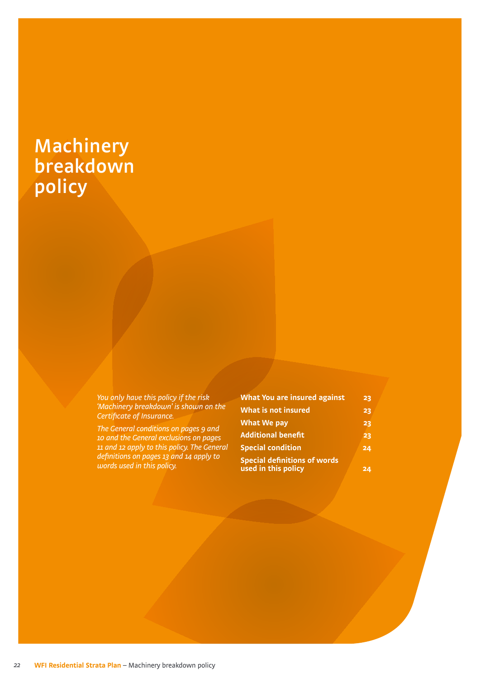# <span id="page-29-0"></span>**Machinery** breakdown policy

You only have this policy if the risk 'Machinery breakdown' is shown on the Certificate of Insurance.

The General conditions on pages 9 and 10 and the General exclusions on pages 11 and 12 apply to this policy. The General definitions on pages 13 and 14 apply to words used in this policy.

| <b>What You are insured against</b> | 23 |
|-------------------------------------|----|
| <b>What is not insured</b>          | 23 |
| What We pay                         | 23 |
| <b>Additional benefit</b>           | 23 |
| <b>Special condition</b>            | 24 |
| <b>Special definitions of words</b> |    |
| used in this policy                 | 24 |

22 **WFI Residential Strata Plan** – Machinery breakdown policy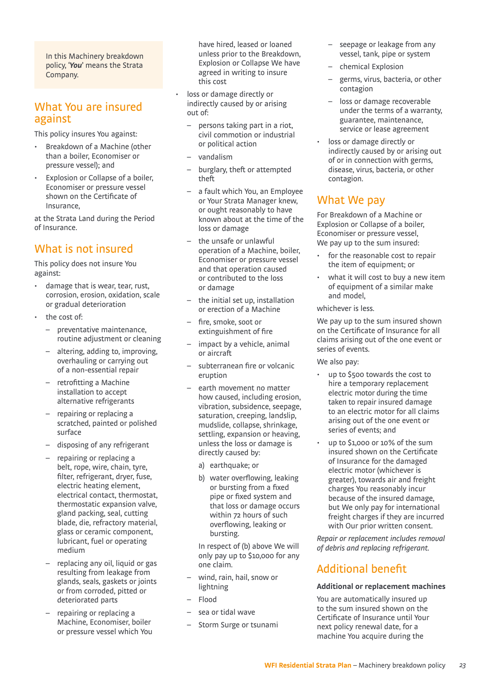<span id="page-30-0"></span>In this Machinery breakdown policy, '**You**' means the Strata Company.

## What You are insured against

This policy insures You against:

- Breakdown of a Machine (other than a boiler, Economiser or pressure vessel); and
- Explosion or Collapse of a boiler, Economiser or pressure vessel shown on the Certificate of Insurance,

at the Strata Land during the Period of Insurance.

## What is not insured

This policy does not insure You against:

- damage that is wear, tear, rust, corrosion, erosion, oxidation, scale or gradual deterioration
- the cost of:
	- preventative maintenance, routine adjustment or cleaning
	- altering, adding to, improving, overhauling or carrying out of a non-essential repair
	- retrofitting a Machine installation to accept alternative refrigerants
	- repairing or replacing a scratched, painted or polished surface
	- disposing of any refrigerant
	- repairing or replacing a belt, rope, wire, chain, tyre, filter, refrigerant, dryer, fuse, electric heating element, electrical contact, thermostat, thermostatic expansion valve, gland packing, seal, cutting blade, die, refractory material, glass or ceramic component, lubricant, fuel or operating medium
	- replacing any oil, liquid or gas resulting from leakage from glands, seals, gaskets or joints or from corroded, pitted or deteriorated parts
	- repairing or replacing a Machine, Economiser, boiler or pressure vessel which You

have hired, leased or loaned unless prior to the Breakdown, Explosion or Collapse We have agreed in writing to insure this cost

- loss or damage directly or indirectly caused by or arising out of:
	- persons taking part in a riot, civil commotion or industrial or political action
	- vandalism
	- burglary, theft or attempted theft
	- a fault which You, an Employee or Your Strata Manager knew, or ought reasonably to have known about at the time of the loss or damage
	- the unsafe or unlawful operation of a Machine, boiler, Economiser or pressure vessel and that operation caused or contributed to the loss or damage
	- the initial set up, installation or erection of a Machine
	- fire, smoke, soot or extinguishment of fire
	- impact by a vehicle, animal or aircraft
	- subterranean fire or volcanic eruption
	- earth movement no matter how caused, including erosion, vibration, subsidence, seepage, saturation, creeping, landslip, mudslide, collapse, shrinkage, settling, expansion or heaving, unless the loss or damage is directly caused by:
		- a) earthquake; or
		- b) water overflowing, leaking or bursting from a fixed pipe or fixed system and that loss or damage occurs within 72 hours of such overflowing, leaking or bursting.

In respect of (b) above We will only pay up to \$10,000 for any one claim.

- wind, rain, hail, snow or lightning
- Flood
- sea or tidal wave
- Storm Surge or tsunami
- seepage or leakage from any vessel, tank, pipe or system
- chemical Explosion
- germs, virus, bacteria, or other contagion
- loss or damage recoverable under the terms of a warranty, guarantee, maintenance, service or lease agreement
- loss or damage directly or indirectly caused by or arising out of or in connection with germs, disease, virus, bacteria, or other contagion.

## What We pay

For Breakdown of a Machine or Explosion or Collapse of a boiler, Economiser or pressure vessel, We pay up to the sum insured:

- for the reasonable cost to repair the item of equipment; or
- what it will cost to buy a new item of equipment of a similar make and model,

#### whichever is less.

We pay up to the sum insured shown on the Certificate of Insurance for all claims arising out of the one event or series of events.

#### We also pay:

- up to \$500 towards the cost to hire a temporary replacement electric motor during the time taken to repair insured damage to an electric motor for all claims arising out of the one event or series of events; and
- up to \$1,000 or 10% of the sum insured shown on the Certificate of Insurance for the damaged electric motor (whichever is greater), towards air and freight charges You reasonably incur because of the insured damage, but We only pay for international freight charges if they are incurred with Our prior written consent.

Repair or replacement includes removal of debris and replacing refrigerant.

## Additional benefit

#### **Additional or replacement machines**

You are automatically insured up to the sum insured shown on the Certificate of Insurance until Your next policy renewal date, for a machine You acquire during the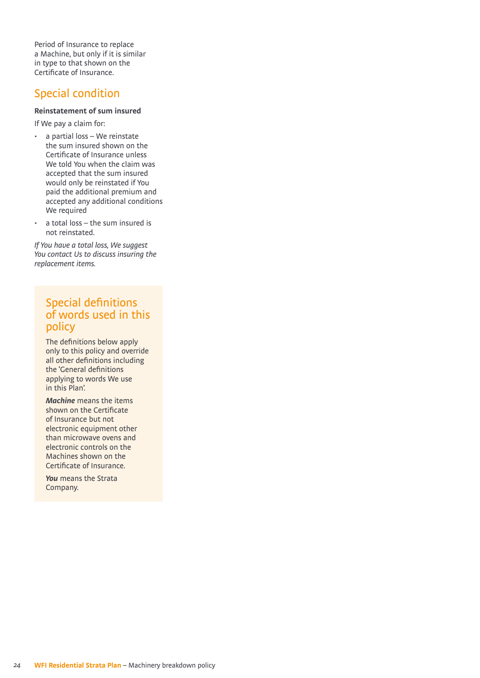<span id="page-31-0"></span>Period of Insurance to replace a Machine, but only if it is similar in type to that shown on the Certificate of Insurance.

## Special condition

#### **Reinstatement of sum insured**

If We pay a claim for:

- a partial loss We reinstate the sum insured shown on the Certificate of Insurance unless We told You when the claim was accepted that the sum insured would only be reinstated if You paid the additional premium and accepted any additional conditions We required
- a total loss the sum insured is not reinstated.

If You have a total loss, We suggest You contact Us to discuss insuring the replacement items.

## Special definitions of words used in this policy

The definitions below apply only to this policy and override all other definitions including the 'General definitions applying to words We use in this Plan'.

**Machine** means the items shown on the Certificate of Insurance but not electronic equipment other than microwave ovens and electronic controls on the Machines shown on the Certificate of Insurance.

**You** means the Strata Company.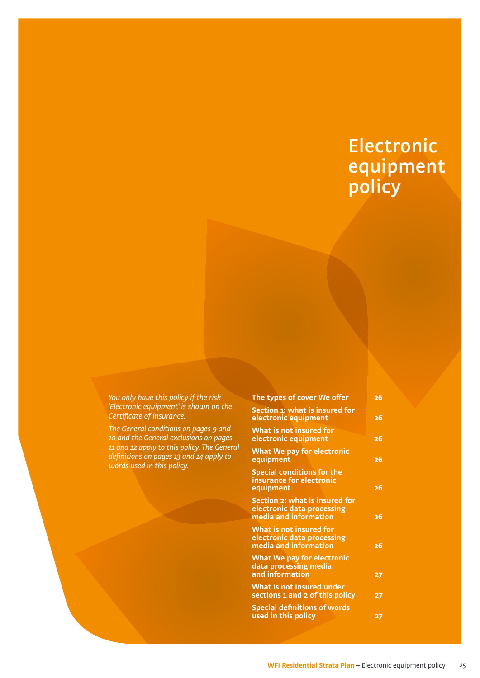# <span id="page-32-0"></span>Electronic equipment policy

You only have this policy if the risk 'Electronic equipment' is shown on the Certificate of Insurance.

The General conditions on pages 9 and 10 and the General exclusions on pages 11 and 12 apply to this policy. The General definitions on pages 13 and 14 apply to words used in this policy.

| The types of cover We offer                                                                  | 26 |
|----------------------------------------------------------------------------------------------|----|
| <b>Section 1: what is insured for</b><br>electronic equipment                                | 26 |
| What is not insured for<br>electronic equipment                                              | 26 |
| <b>What We pay for electronic</b><br>equipment                                               | 26 |
| <b>Special conditions for the</b><br>insurance for electronic<br>equipment                   | 26 |
| <b>Section 2: what is insured for</b><br>electronic data processing<br>media and information | 26 |
| <b>What is not insured for</b><br>electronic data processing<br>media and information        | 26 |
| <b>What We pay for electronic</b><br>data processing media<br>and information                | 27 |
| What is not insured under<br>sections 1 and 2 of this policy                                 | 27 |
| <b>Special definitions of words</b><br>used in this policy                                   | 27 |
|                                                                                              |    |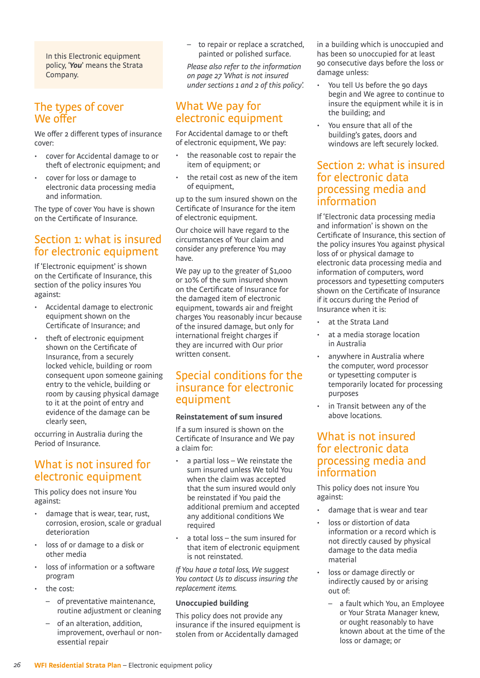<span id="page-33-0"></span>In this Electronic equipment policy, '**You**' means the Strata Company.

## The types of cover We offer

We offer 2 different types of insurance cover:

- cover for Accidental damage to or theft of electronic equipment; and
- cover for loss or damage to electronic data processing media and information.

The type of cover You have is shown on the Certificate of Insurance.

## Section 1: what is insured for electronic equipment

If 'Electronic equipment' is shown on the Certificate of Insurance, this section of the policy insures You against:

- Accidental damage to electronic equipment shown on the Certificate of Insurance; and
- theft of electronic equipment shown on the Certificate of Insurance, from a securely locked vehicle, building or room consequent upon someone gaining entry to the vehicle, building or room by causing physical damage to it at the point of entry and evidence of the damage can be clearly seen,

occurring in Australia during the Period of Insurance.

## What is not insured for electronic equipment

This policy does not insure You against:

- damage that is wear, tear, rust, corrosion, erosion, scale or gradual deterioration
- loss of or damage to a disk or other media
- loss of information or a software program
- the cost:
	- of preventative maintenance, routine adjustment or cleaning
	- of an alteration, addition, improvement, overhaul or nonessential repair

to repair or replace a scratched, painted or polished surface.

Please also refer to the information on page 27 'What is not insured under sections 1 and 2 of this policy'.

## What We pay for electronic equipment

For Accidental damage to or theft of electronic equipment, We pay:

- the reasonable cost to repair the item of equipment; or
- the retail cost as new of the item of equipment,

up to the sum insured shown on the Certificate of Insurance for the item of electronic equipment.

Our choice will have regard to the circumstances of Your claim and consider any preference You may have.

We pay up to the greater of \$1,000 or 10% of the sum insured shown on the Certificate of Insurance for the damaged item of electronic equipment, towards air and freight charges You reasonably incur because of the insured damage, but only for international freight charges if they are incurred with Our prior written consent.

## Special conditions for the insurance for electronic equipment

#### **Reinstatement of sum insured**

If a sum insured is shown on the Certificate of Insurance and We pay a claim for:

- a partial loss  $-$  We reinstate the sum insured unless We told You when the claim was accepted that the sum insured would only be reinstated if You paid the additional premium and accepted any additional conditions We required
- a total loss the sum insured for that item of electronic equipment is not reinstated.

If You have a total loss, We suggest You contact Us to discuss insuring the replacement items.

#### **Unoccupied building**

This policy does not provide any insurance if the insured equipment is stolen from or Accidentally damaged

in a building which is unoccupied and has been so unoccupied for at least 90 consecutive days before the loss or damage unless:

- You tell Us before the 90 days begin and We agree to continue to insure the equipment while it is in the building; and
- You ensure that all of the building's gates, doors and windows are left securely locked.

## Section 2: what is insured for electronic data processing media and information

If 'Electronic data processing media and information' is shown on the Certificate of Insurance, this section of the policy insures You against physical loss of or physical damage to electronic data processing media and information of computers, word processors and typesetting computers shown on the Certificate of Insurance if it occurs during the Period of Insurance when it is:

- at the Strata Land
- at a media storage location in Australia
- anywhere in Australia where the computer, word processor or typesetting computer is temporarily located for processing purposes
- in Transit between any of the above locations.

## What is not insured for electronic data processing media and information

This policy does not insure You against:

- damage that is wear and tear
- loss or distortion of data information or a record which is not directly caused by physical damage to the data media material
- loss or damage directly or indirectly caused by or arising out of:
	- a fault which You, an Employee or Your Strata Manager knew, or ought reasonably to have known about at the time of the loss or damage; or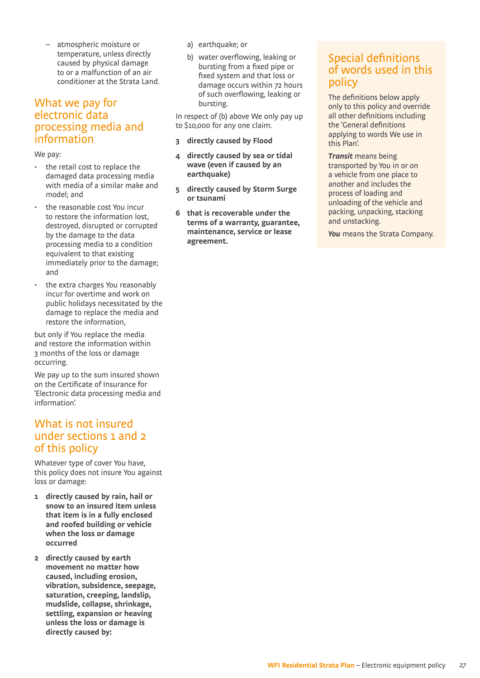<span id="page-34-0"></span>– atmospheric moisture or temperature, unless directly caused by physical damage to or a malfunction of an air conditioner at the Strata Land.

### What we pay for electronic data processing media and information

We pay:

- the retail cost to replace the damaged data processing media with media of a similar make and model; and
- the reasonable cost You incur to restore the information lost, destroyed, disrupted or corrupted by the damage to the data processing media to a condition equivalent to that existing immediately prior to the damage; and
- the extra charges You reasonably incur for overtime and work on public holidays necessitated by the damage to replace the media and restore the information,

but only if You replace the media and restore the information within 3 months of the loss or damage occurring.

We pay up to the sum insured shown on the Certificate of Insurance for 'Electronic data processing media and information'.

## What is not insured under sections 1 and 2 of this policy

Whatever type of cover You have, this policy does not insure You against loss or damage:

- **1 directly caused by rain, hail or snow to an insured item unless that item is in a fully enclosed and roofed building or vehicle when the loss or damage occurred**
- **2 directly caused by earth movement no matter how caused, including erosion, vibration, subsidence, seepage, saturation, creeping, landslip, mudslide, collapse, shrinkage, settling, expansion or heaving unless the loss or damage is directly caused by:**
- a) earthquake; or
- b) water overflowing, leaking or bursting from a fixed pipe or fixed system and that loss or damage occurs within 72 hours of such overflowing, leaking or bursting.

In respect of (b) above We only pay up to \$10,000 for any one claim.

- **3 directly caused by Flood**
- **4 directly caused by sea or tidal wave (even if caused by an earthquake)**
- **5 directly caused by Storm Surge or tsunami**
- **6 that is recoverable under the terms of a warranty, guarantee, maintenance, service or lease agreement.**

## Special definitions of words used in this policy

The definitions below apply only to this policy and override all other definitions including the 'General definitions applying to words We use in this Plan'.

**Transit** means being transported by You in or on a vehicle from one place to another and includes the process of loading and unloading of the vehicle and packing, unpacking, stacking and unstacking.

**You** means the Strata Company.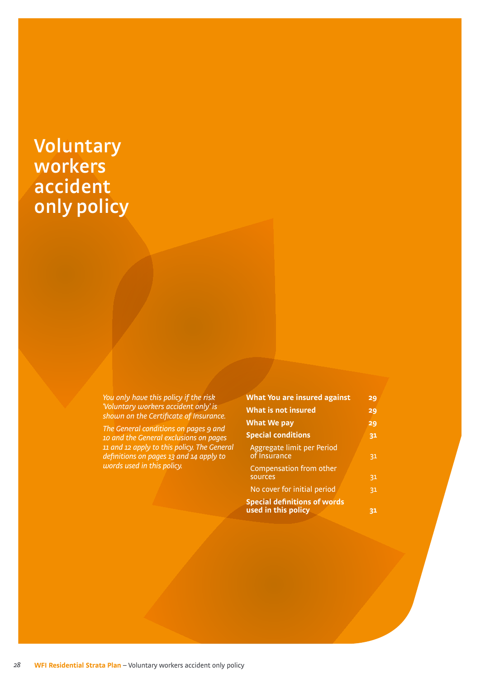## <span id="page-35-0"></span>Voluntary workers accident only policy

You only have this policy if the risk 'Voluntary workers accident only' is shown on the Certificate of Insurance.

The General conditions on pages 9 and 10 and the General exclusions on pages 11 and 12 apply to this policy. The General definitions on pages 13 and 14 apply to words used in this policy.

| <b>What You are insured against</b>                        |    |
|------------------------------------------------------------|----|
| <b>What is not insured</b>                                 | 29 |
| <b>What We pay</b>                                         | 29 |
| <b>Special conditions</b>                                  | 31 |
| Aggregate limit per Period<br>of Insurance                 | 31 |
| Compensation from other<br>sources                         | 31 |
| No cover for initial period                                | 31 |
| <b>Special definitions of words</b><br>used in this policy |    |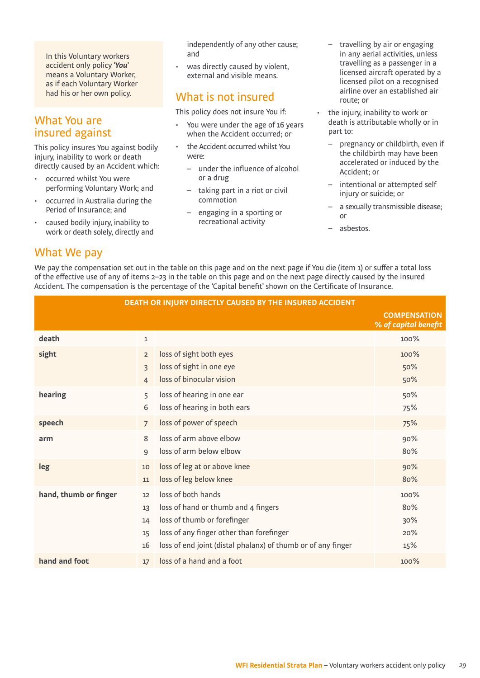<span id="page-36-0"></span>In this Voluntary workers accident only policy '**You**' means a Voluntary Worker, as if each Voluntary Worker had his or her own policy.

### What You are insured against

This policy insures You against bodily injury, inability to work or death directly caused by an Accident which:

- occurred whilst You were performing Voluntary Work; and
- occurred in Australia during the Period of Insurance; and
- caused bodily injury, inability to work or death solely, directly and

independently of any other cause; and

• was directly caused by violent, external and visible means.

## What is not insured

This policy does not insure You if:

- You were under the age of 16 years when the Accident occurred; or
- the Accident occurred whilst You were:
	- under the influence of alcohol or a drug
	- taking part in a riot or civil commotion
	- engaging in a sporting or recreational activity
- travelling by air or engaging in any aerial activities, unless travelling as a passenger in a licensed aircraft operated by a licensed pilot on a recognised airline over an established air route; or
- the injury, inability to work or death is attributable wholly or in part to:
	- pregnancy or childbirth, even if the childbirth may have been accelerated or induced by the Accident; or
	- intentional or attempted self injury or suicide; or
	- a sexually transmissible disease; or
	- asbestos.

## What We pay

We pay the compensation set out in the table on this page and on the next page if You die (item 1) or suffer a total loss of the effective use of any of items 2–23 in the table on this page and on the next page directly caused by the insured Accident. The compensation is the percentage of the 'Capital benefit' shown on the Certificate of Insurance.

| DEATH OR INJURY DIRECTLY CAUSED BY THE INSURED ACCIDENT |                |                                                              |                                             |
|---------------------------------------------------------|----------------|--------------------------------------------------------------|---------------------------------------------|
|                                                         |                |                                                              | <b>COMPENSATION</b><br>% of capital benefit |
| death                                                   | 1              |                                                              | 100%                                        |
| sight                                                   | $\overline{2}$ | loss of sight both eyes                                      | 100%                                        |
|                                                         | 3              | loss of sight in one eye                                     | 50%                                         |
|                                                         | $\overline{4}$ | loss of binocular vision                                     | 50%                                         |
| hearing                                                 | 5              | loss of hearing in one ear                                   | 50%                                         |
|                                                         | 6              | loss of hearing in both ears                                 | 75%                                         |
| speech                                                  | $7^{\circ}$    | loss of power of speech                                      | 75%                                         |
| arm                                                     | 8              | loss of arm above elbow                                      | 90%                                         |
|                                                         | 9              | loss of arm below elbow                                      | 80%                                         |
| leg                                                     | 10             | loss of leg at or above knee                                 | 90%                                         |
|                                                         | 11             | loss of leg below knee                                       | 80%                                         |
| hand, thumb or finger                                   | 12             | loss of both hands                                           | 100%                                        |
|                                                         | 13             | loss of hand or thumb and 4 fingers                          | 80%                                         |
|                                                         | 14             | loss of thumb or forefinger                                  | 30%                                         |
|                                                         | 15             | loss of any finger other than forefinger                     | 20%                                         |
|                                                         | 16             | loss of end joint (distal phalanx) of thumb or of any finger | 15%                                         |
| hand and foot                                           | 17             | loss of a hand and a foot                                    | 100%                                        |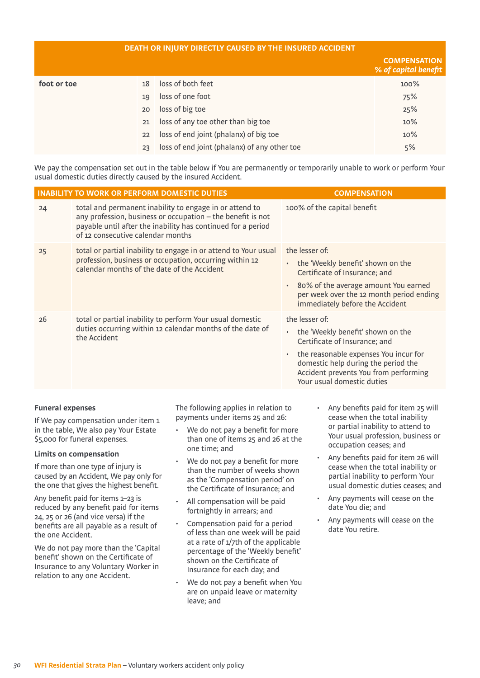#### **DEATH OR INJURY DIRECTLY CAUSED BY THE INSURED ACCIDENT**

|             |    |                                              | <b>COMPENSATION</b><br>% of capital benefit |
|-------------|----|----------------------------------------------|---------------------------------------------|
| foot or toe | 18 | loss of both feet                            | 100%                                        |
|             | 19 | loss of one foot                             | 75%                                         |
|             | 20 | loss of big toe                              | 25%                                         |
|             | 21 | loss of any toe other than big toe           | 10%                                         |
|             | 22 | loss of end joint (phalanx) of big toe       | 10%                                         |
|             | 23 | loss of end joint (phalanx) of any other toe | 5%                                          |

We pay the compensation set out in the table below if You are permanently or temporarily unable to work or perform Your usual domestic duties directly caused by the insured Accident.

| INABILITY TO WORK OR PERFORM DOMESTIC DUTIES |                                                                                                                                                                                                                             | <b>COMPENSATION</b>                                                                                                                                                                                                                                                   |  |
|----------------------------------------------|-----------------------------------------------------------------------------------------------------------------------------------------------------------------------------------------------------------------------------|-----------------------------------------------------------------------------------------------------------------------------------------------------------------------------------------------------------------------------------------------------------------------|--|
| 24                                           | total and permanent inability to engage in or attend to<br>any profession, business or occupation - the benefit is not<br>payable until after the inability has continued for a period<br>of 12 consecutive calendar months | 100% of the capital benefit                                                                                                                                                                                                                                           |  |
| 25                                           | total or partial inability to engage in or attend to Your usual<br>profession, business or occupation, occurring within 12<br>calendar months of the date of the Accident                                                   | the lesser of:<br>the 'Weekly benefit' shown on the<br>Certificate of Insurance; and<br>80% of the average amount You earned<br>$\bullet$<br>per week over the 12 month period ending<br>immediately before the Accident                                              |  |
| 26                                           | total or partial inability to perform Your usual domestic<br>duties occurring within 12 calendar months of the date of<br>the Accident                                                                                      | the lesser of:<br>the 'Weekly benefit' shown on the<br>$\bullet$<br>Certificate of Insurance; and<br>the reasonable expenses You incur for<br>$\bullet$<br>domestic help during the period the<br>Accident prevents You from performing<br>Your usual domestic duties |  |

#### **Funeral expenses**

If We pay compensation under item 1 in the table, We also pay Your Estate \$5,000 for funeral expenses.

#### **Limits on compensation**

If more than one type of injury is caused by an Accident, We pay only for the one that gives the highest benefit.

Any benefit paid for items 1–23 is reduced by any benefit paid for items 24, 25 or 26 (and vice versa) if the benefits are all payable as a result of the one Accident.

We do not pay more than the 'Capital benefit' shown on the Certificate of Insurance to any Voluntary Worker in relation to any one Accident.

The following applies in relation to payments under items 25 and 26:

- We do not pay a benefit for more than one of items 25 and 26 at the one time; and
- We do not pay a benefit for more than the number of weeks shown as the 'Compensation period' on the Certificate of Insurance; and
- All compensation will be paid fortnightly in arrears; and
- Compensation paid for a period of less than one week will be paid at a rate of 1/7th of the applicable percentage of the 'Weekly benefit' shown on the Certificate of Insurance for each day; and
- We do not pay a benefit when You are on unpaid leave or maternity leave; and
- Any benefits paid for item 25 will cease when the total inability or partial inability to attend to Your usual profession, business or occupation ceases; and
- Any benefits paid for item 26 will cease when the total inability or partial inability to perform Your usual domestic duties ceases; and
- Any payments will cease on the date You die; and
- Any payments will cease on the date You retire.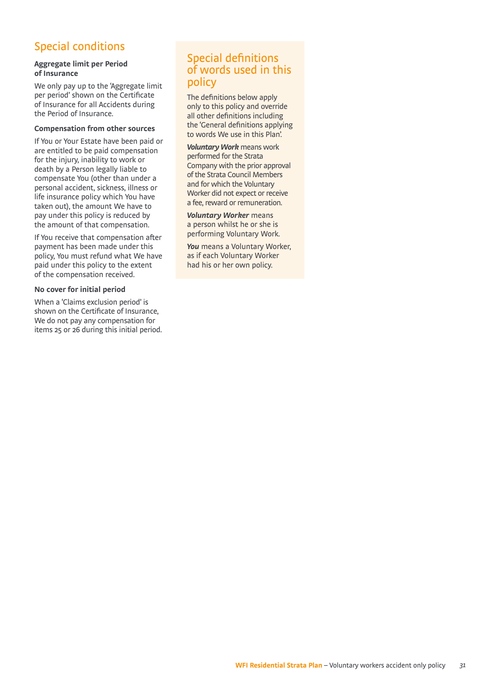## <span id="page-38-0"></span>Special conditions

#### **Aggregate limit per Period of Insurance**

We only pay up to the 'Aggregate limit per period' shown on the Certificate of Insurance for all Accidents during the Period of Insurance.

#### **Compensation from other sources**

If You or Your Estate have been paid or are entitled to be paid compensation for the injury, inability to work or death by a Person legally liable to compensate You (other than under a personal accident, sickness, illness or life insurance policy which You have taken out), the amount We have to pay under this policy is reduced by the amount of that compensation.

If You receive that compensation after payment has been made under this policy, You must refund what We have paid under this policy to the extent of the compensation received.

#### **No cover for initial period**

When a 'Claims exclusion period' is shown on the Certificate of Insurance, We do not pay any compensation for items 25 or 26 during this initial period.

## Special definitions of words used in this policy

The definitions below apply only to this policy and override all other definitions including the 'General definitions applying to words We use in this Plan'.

**Voluntary Work** means work performed for the Strata Company with the prior approval of the Strata Council Members and for which the Voluntary Worker did not expect or receive a fee, reward or remuneration.

**Voluntary Worker** means a person whilst he or she is performing Voluntary Work.

**You** means a Voluntary Worker, as if each Voluntary Worker had his or her own policy.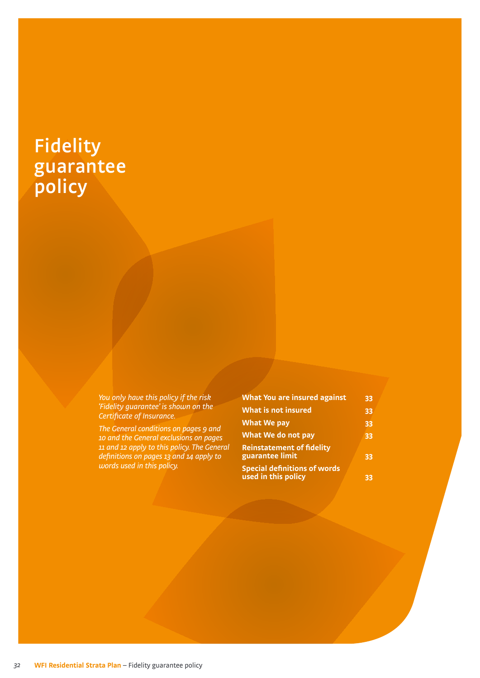# <span id="page-39-0"></span>Fidelity guarantee policy

You only have this policy if the risk 'Fidelity guarantee' is shown on the Certificate of Insurance.

The General conditions on pages 9 and 10 and the General exclusions on pages 11 and 12 apply to this policy. The General definitions on pages 13 and 14 apply to words used in this policy.

| <b>What You are insured against</b>                        | 33 |
|------------------------------------------------------------|----|
| <b>What is not insured</b>                                 | 33 |
| What We pay                                                | 33 |
| What We do not pay                                         | 33 |
| <b>Reinstatement of fidelity</b><br>guarantee limit        | 33 |
| <b>Special definitions of words</b><br>used in this policy | 33 |

32 **WFI Residential Strata Plan** – Fidelity guarantee policy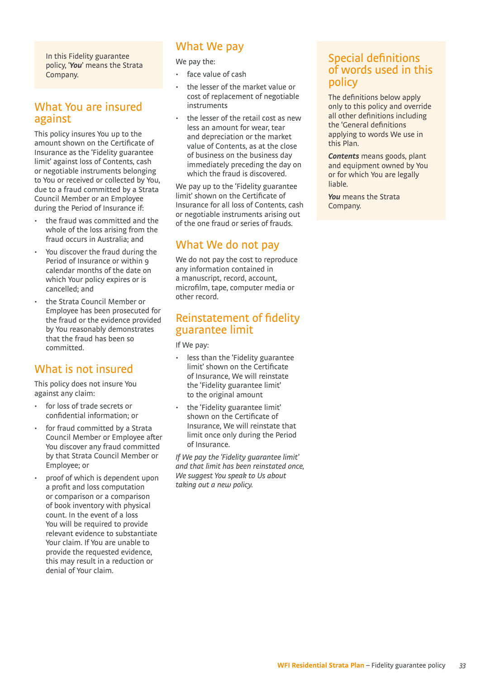<span id="page-40-0"></span>In this Fidelity guarantee policy, '**You**' means the Strata Company.

## What You are insured against

This policy insures You up to the amount shown on the Certificate of Insurance as the 'Fidelity guarantee limit' against loss of Contents, cash or negotiable instruments belonging to You or received or collected by You, due to a fraud committed by a Strata Council Member or an Employee during the Period of Insurance if:

- the fraud was committed and the whole of the loss arising from the fraud occurs in Australia; and
- You discover the fraud during the Period of Insurance or within 9 calendar months of the date on which Your policy expires or is cancelled; and
- the Strata Council Member or Employee has been prosecuted for the fraud or the evidence provided by You reasonably demonstrates that the fraud has been so committed.

## What is not insured

This policy does not insure You against any claim:

- for loss of trade secrets or confidential information; or
- for fraud committed by a Strata Council Member or Employee after You discover any fraud committed by that Strata Council Member or Employee; or
- proof of which is dependent upon a profit and loss computation or comparison or a comparison of book inventory with physical count. In the event of a loss You will be required to provide relevant evidence to substantiate Your claim. If You are unable to provide the requested evidence, this may result in a reduction or denial of Your claim.

## What We pay

We pay the:

- face value of cash
- the lesser of the market value or cost of replacement of negotiable instruments
- the lesser of the retail cost as new less an amount for wear, tear and depreciation or the market value of Contents, as at the close of business on the business day immediately preceding the day on which the fraud is discovered.

We pay up to the 'Fidelity guarantee limit' shown on the Certificate of Insurance for all loss of Contents, cash or negotiable instruments arising out of the one fraud or series of frauds.

## What We do not pay

We do not pay the cost to reproduce any information contained in a manuscript, record, account, microfilm, tape, computer media or other record.

## Reinstatement of fidelity guarantee limit

If We pay:

- less than the 'Fidelity guarantee limit' shown on the Certificate of Insurance, We will reinstate the 'Fidelity guarantee limit' to the original amount
- the 'Fidelity guarantee limit' shown on the Certificate of Insurance, We will reinstate that limit once only during the Period of Insurance.

If We pay the 'Fidelity guarantee limit' and that limit has been reinstated once, We suggest You speak to Us about taking out a new policy.

## Special definitions of words used in this policy

The definitions below apply only to this policy and override all other definitions including the 'General definitions applying to words We use in this Plan.

**Contents** means goods, plant and equipment owned by You or for which You are legally liable.

**You** means the Strata Company.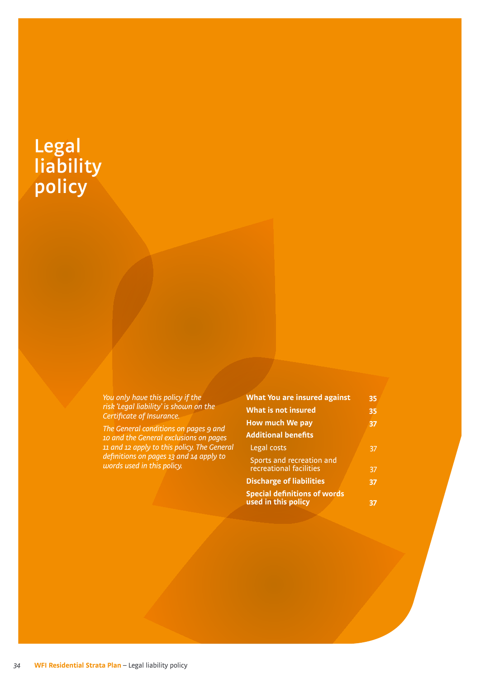# <span id="page-41-0"></span>Legal liability policy

You only have this policy if the risk 'Legal liability' is shown on the Certificate of Insurance.

The General conditions on pages 9 and 10 and the General exclusions on pages 11 and 12 apply to this policy. The General definitions on pages 13 and 14 apply to words used in this policy.

| <b>What You are insured against</b>                        | 35 |
|------------------------------------------------------------|----|
| <b>What is not insured</b>                                 | 35 |
| <b>How much We pay</b>                                     | 37 |
| <b>Additional benefits</b>                                 |    |
| Legal costs                                                | 37 |
| Sports and recreation and<br>recreational facilities       | 37 |
| <b>Discharge of liabilities</b>                            | 37 |
| <b>Special definitions of words</b><br>used in this policy |    |

34 **WFI Residential Strata Plan** – Legal liability policy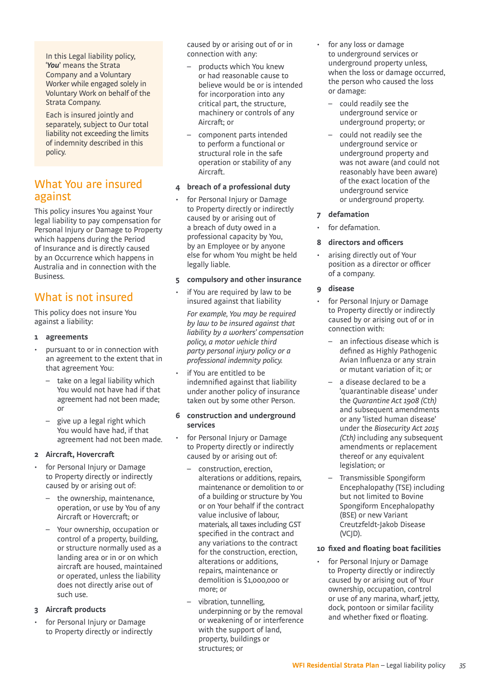<span id="page-42-0"></span>In this Legal liability policy, '**You**' means the Strata Company and a Voluntary Worker while engaged solely in Voluntary Work on behalf of the Strata Company.

Each is insured jointly and separately, subject to Our total liability not exceeding the limits of indemnity described in this policy.

## What You are insured against

This policy insures You against Your legal liability to pay compensation for Personal Injury or Damage to Property which happens during the Period of Insurance and is directly caused by an Occurrence which happens in Australia and in connection with the **Business** 

## What is not insured

This policy does not insure You against a liability:

#### **1 agreements**

- pursuant to or in connection with an agreement to the extent that in that agreement You:
	- take on a legal liability which You would not have had if that agreement had not been made; or
	- give up a legal right which You would have had, if that agreement had not been made.

#### **2 Aircraft, Hovercraft**

- for Personal Injury or Damage to Property directly or indirectly caused by or arising out of:
	- the ownership, maintenance, operation, or use by You of any Aircraft or Hovercraft; or
	- Your ownership, occupation or control of a property, building, or structure normally used as a landing area or in or on which aircraft are housed, maintained or operated, unless the liability does not directly arise out of such use.

#### **3 Aircraft products**

for Personal Injury or Damage to Property directly or indirectly caused by or arising out of or in connection with any:

- products which You knew or had reasonable cause to believe would be or is intended for incorporation into any critical part, the structure, machinery or controls of any Aircraft; or
- component parts intended to perform a functional or structural role in the safe operation or stability of any Aircraft.

#### **4 breach of a professional duty**

for Personal Injury or Damage to Property directly or indirectly caused by or arising out of a breach of duty owed in a professional capacity by You, by an Employee or by anyone else for whom You might be held legally liable.

#### **5 compulsory and other insurance**

if You are required by law to be insured against that liability

For example, You may be required by law to be insured against that liability by a workers' compensation policy, a motor vehicle third party personal injury policy or a professional indemnity policy.

if You are entitled to be indemnified against that liability under another policy of insurance taken out by some other Person.

#### **6 construction and underground services**

- for Personal Injury or Damage to Property directly or indirectly caused by or arising out of:
	- construction, erection, alterations or additions, repairs, maintenance or demolition to or of a building or structure by You or on Your behalf if the contract value inclusive of labour, materials, all taxes including GST specified in the contract and any variations to the contract for the construction, erection, alterations or additions, repairs, maintenance or demolition is \$1,000,000 or more; or
	- vibration, tunnelling, underpinning or by the removal or weakening of or interference with the support of land, property, buildings or structures; or
- for any loss or damage to underground services or underground property unless, when the loss or damage occurred, the person who caused the loss or damage:
	- could readily see the underground service or underground property; or
	- could not readily see the underground service or underground property and was not aware (and could not reasonably have been aware) of the exact location of the underground service or underground property.

#### **7 defamation**

for defamation

#### **8 directors and officers**

arising directly out of Your position as a director or officer of a company.

#### **9 disease**

- for Personal Injury or Damage to Property directly or indirectly caused by or arising out of or in connection with:
	- an infectious disease which is defined as Highly Pathogenic Avian Influenza or any strain or mutant variation of it; or
	- a disease declared to be a 'quarantinable disease' under the Quarantine Act 1908 (Cth) and subsequent amendments or any 'listed human disease' under the Biosecurity Act 2015 (Cth) including any subsequent amendments or replacement thereof or any equivalent legislation; or
	- Transmissible Spongiform Encephalopathy (TSE) including but not limited to Bovine Spongiform Encephalopathy (BSE) or new Variant Creutzfeldt-Jakob Disease (VCJD).

#### **10 fixed and floating boat facilities**

for Personal Injury or Damage to Property directly or indirectly caused by or arising out of Your ownership, occupation, control or use of any marina, wharf, jetty, dock, pontoon or similar facility and whether fixed or floating.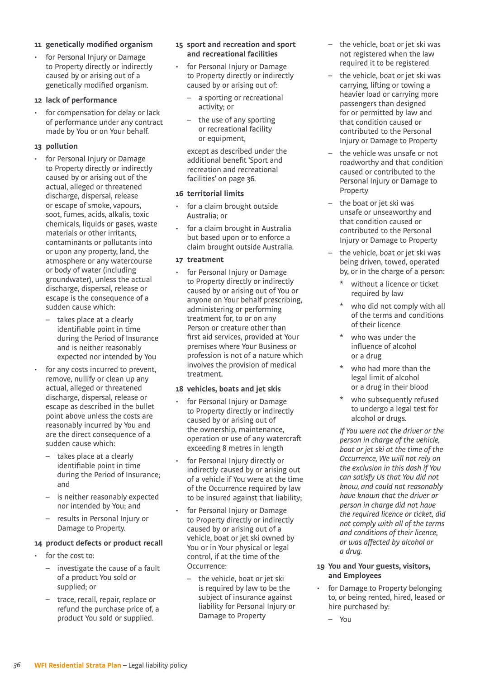#### **11 genetically modified organism**

for Personal Injury or Damage to Property directly or indirectly caused by or arising out of a genetically modified organism.

#### **12 lack of performance**

for compensation for delay or lack of performance under any contract made by You or on Your behalf.

#### **13 pollution**

- for Personal Injury or Damage to Property directly or indirectly caused by or arising out of the actual, alleged or threatened discharge, dispersal, release or escape of smoke, vapours, soot, fumes, acids, alkalis, toxic chemicals, liquids or gases, waste materials or other irritants, contaminants or pollutants into or upon any property, land, the atmosphere or any watercourse or body of water (including groundwater), unless the actual discharge, dispersal, release or escape is the consequence of a sudden cause which:
	- takes place at a clearly identifiable point in time during the Period of Insurance and is neither reasonably expected nor intended by You
- for any costs incurred to prevent, remove, nullify or clean up any actual, alleged or threatened discharge, dispersal, release or escape as described in the bullet point above unless the costs are reasonably incurred by You and are the direct consequence of a sudden cause which:
	- takes place at a clearly identifiable point in time during the Period of Insurance; and
	- is neither reasonably expected nor intended by You; and
	- results in Personal Injury or Damage to Property.

#### **14 product defects or product recall**

- for the cost to:
	- investigate the cause of a fault of a product You sold or supplied; or
	- trace, recall, repair, replace or refund the purchase price of, a product You sold or supplied.
- **15 sport and recreation and sport and recreational facilities**
- for Personal Injury or Damage to Property directly or indirectly caused by or arising out of:
	- a sporting or recreational activity; or
	- the use of any sporting or recreational facility or equipment,

except as described under the additional benefit 'Sport and recreation and recreational facilities' on page 36.

#### **16 territorial limits**

- for a claim brought outside Australia; or
- for a claim brought in Australia but based upon or to enforce a claim brought outside Australia.

#### **17 treatment**

for Personal Injury or Damage to Property directly or indirectly caused by or arising out of You or anyone on Your behalf prescribing, administering or performing treatment for, to or on any Person or creature other than first aid services, provided at Your premises where Your Business or profession is not of a nature which involves the provision of medical treatment.

#### **18 vehicles, boats and jet skis**

- for Personal Injury or Damage to Property directly or indirectly caused by or arising out of the ownership, maintenance, operation or use of any watercraft exceeding 8 metres in length
- for Personal Injury directly or indirectly caused by or arising out of a vehicle if You were at the time of the Occurrence required by law to be insured against that liability;
- for Personal Injury or Damage to Property directly or indirectly caused by or arising out of a vehicle, boat or jet ski owned by You or in Your physical or legal control, if at the time of the Occurrence:
	- the vehicle, boat or jet ski is required by law to be the subject of insurance against liability for Personal Injury or Damage to Property
- the vehicle, boat or jet ski was not registered when the law required it to be registered
- the vehicle, boat or jet ski was carrying, lifting or towing a heavier load or carrying more passengers than designed for or permitted by law and that condition caused or contributed to the Personal Injury or Damage to Property
- the vehicle was unsafe or not roadworthy and that condition caused or contributed to the Personal Injury or Damage to Property
- the boat or jet ski was unsafe or unseaworthy and that condition caused or contributed to the Personal Injury or Damage to Property
- the vehicle, boat or jet ski was being driven, towed, operated by, or in the charge of a person:
	- without a licence or ticket required by law
	- who did not comply with all of the terms and conditions of their licence
	- who was under the influence of alcohol or a drug
	- who had more than the legal limit of alcohol or a drug in their blood
	- who subsequently refused to undergo a legal test for alcohol or drugs.

If You were not the driver or the person in charge of the vehicle, boat or jet ski at the time of the Occurrence, We will not rely on the exclusion in this dash if You can satisfy Us that You did not know, and could not reasonably have known that the driver or person in charge did not have the required licence or ticket, did not comply with all of the terms and conditions of their licence, or was affected by alcohol or a drug.

#### **19 You and Your guests, visitors, and Employees**

- for Damage to Property belonging to, or being rented, hired, leased or hire purchased by:
	- You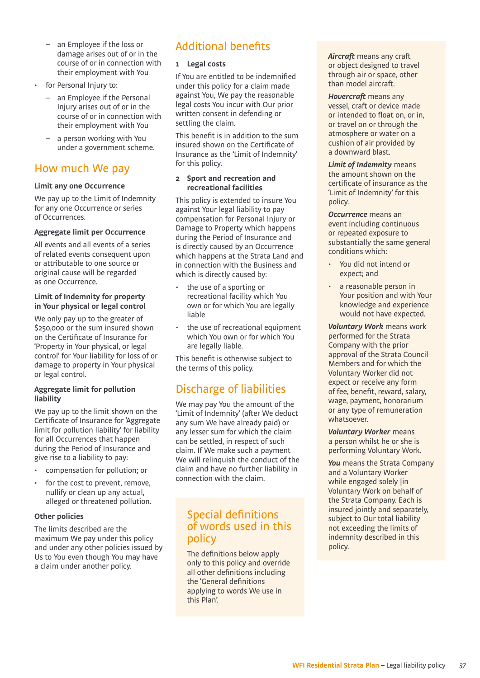- <span id="page-44-0"></span>– an Employee if the loss or damage arises out of or in the course of or in connection with their employment with You
- for Personal Injury to:
	- an Employee if the Personal Injury arises out of or in the course of or in connection with their employment with You
	- a person working with You under a government scheme.

## How much We pay

#### **Limit any one Occurrence**

We pay up to the Limit of Indemnity for any one Occurrence or series of Occurrences.

#### **Aggregate limit per Occurrence**

All events and all events of a series of related events consequent upon or attributable to one source or original cause will be regarded as one Occurrence.

#### **Limit of Indemnity for property in Your physical or legal control**

We only pay up to the greater of \$250,000 or the sum insured shown on the Certificate of Insurance for 'Property in Your physical, or legal control' for Your liability for loss of or damage to property in Your physical or legal control.

#### **Aggregate limit for pollution liability**

We pay up to the limit shown on the Certificate of Insurance for 'Aggregate limit for pollution liability' for liability for all Occurrences that happen during the Period of Insurance and give rise to a liability to pay:

- compensation for pollution; or
- for the cost to prevent, remove, nullify or clean up any actual, alleged or threatened pollution.

#### **Other policies**

The limits described are the maximum We pay under this policy and under any other policies issued by Us to You even though You may have a claim under another policy.

## Additional benefits

#### **1 Legal costs**

If You are entitled to be indemnified under this policy for a claim made against You, We pay the reasonable legal costs You incur with Our prior written consent in defending or settling the claim.

This benefit is in addition to the sum insured shown on the Certificate of Insurance as the 'Limit of Indemnity' for this policy.

#### **2 Sport and recreation and recreational facilities**

This policy is extended to insure You against Your legal liability to pay compensation for Personal Injury or Damage to Property which happens during the Period of Insurance and is directly caused by an Occurrence which happens at the Strata Land and in connection with the Business and which is directly caused by:

- the use of a sporting or recreational facility which You own or for which You are legally liable
- the use of recreational equipment which You own or for which You are legally liable.

This benefit is otherwise subject to the terms of this policy.

## Discharge of liabilities

We may pay You the amount of the 'Limit of Indemnity' (after We deduct any sum We have already paid) or any lesser sum for which the claim can be settled, in respect of such claim. If We make such a payment We will relinquish the conduct of the claim and have no further liability in connection with the claim.

## Special definitions of words used in this policy

The definitions below apply only to this policy and override all other definitions including the 'General definitions applying to words We use in this Plan'.

**Aircraft** means any craft or object designed to travel through air or space, other than model aircraft.

**Hovercraft** means any vessel, craft or device made or intended to float on, or in, or travel on or through the atmosphere or water on a cushion of air provided by a downward blast.

**Limit of Indemnity** means the amount shown on the certificate of insurance as the 'Limit of Indemnity' for this policy.

**Occurrence** means an event including continuous or repeated exposure to substantially the same general conditions which:

- You did not intend or expect; and
- a reasonable person in Your position and with Your knowledge and experience would not have expected.

**Voluntary Work** means work performed for the Strata Company with the prior approval of the Strata Council Members and for which the Voluntary Worker did not expect or receive any form of fee, benefit, reward, salary, wage, payment, honorarium or any type of remuneration whatsoever.

**Voluntary Worker** means a person whilst he or she is performing Voluntary Work.

**You** means the Strata Company and a Voluntary Worker while engaged solely |in Voluntary Work on behalf of the Strata Company. Each is insured jointly and separately, subject to Our total liability not exceeding the limits of indemnity described in this policy.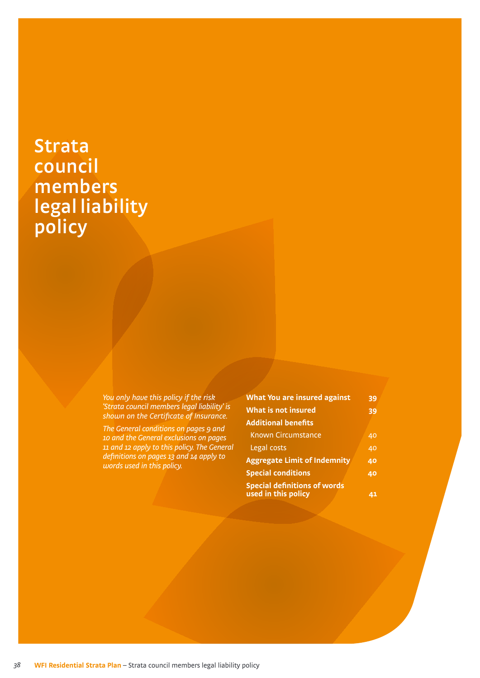## <span id="page-45-0"></span>Strata council members legal liability policy

You only have this policy if the risk 'Strata council members legal liability' is shown on the Certificate of Insurance.

The General conditions on pages 9 and 10 and the General exclusions on pages 11 and 12 apply to this policy. The General definitions on pages 13 and 14 apply to words used in this policy.

| <b>What You are insured against</b>                        | 39 |
|------------------------------------------------------------|----|
| <b>What is not insured</b>                                 | 39 |
| <b>Additional benefits</b>                                 |    |
| <b>Known Circumstance</b>                                  | 40 |
| Legal costs                                                | 40 |
| <b>Aggregate Limit of Indemnity</b>                        | 40 |
| <b>Special conditions</b>                                  | 40 |
| <b>Special definitions of words</b><br>used in this policy | 41 |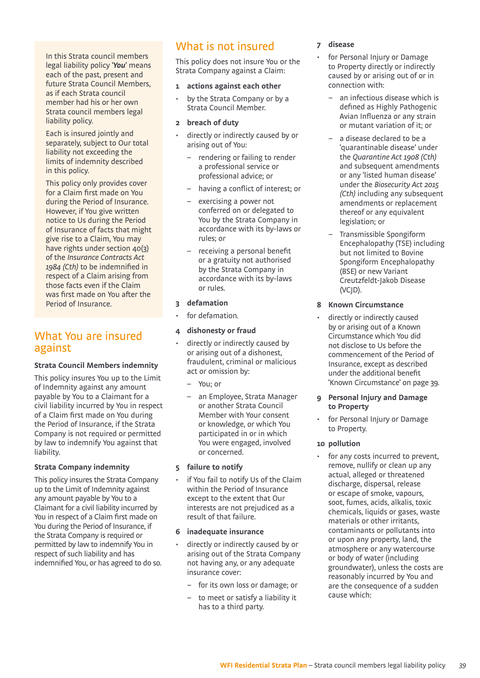<span id="page-46-0"></span>In this Strata council members legal liability policy '**You**' means each of the past, present and future Strata Council Members, as if each Strata council member had his or her own Strata council members legal liability policy.

Each is insured jointly and separately, subject to Our total liability not exceeding the limits of indemnity described in this policy.

This policy only provides cover for a Claim first made on You during the Period of Insurance. However, if You give written notice to Us during the Period of Insurance of facts that might give rise to a Claim, You may have rights under section 40(3) of the Insurance Contracts Act 1984 (Cth) to be indemnified in respect of a Claim arising from those facts even if the Claim was first made on You after the Period of Insurance.

## What You are insured against

#### **Strata Council Members indemnity**

This policy insures You up to the Limit of Indemnity against any amount payable by You to a Claimant for a civil liability incurred by You in respect of a Claim first made on You during the Period of Insurance, if the Strata Company is not required or permitted by law to indemnify You against that liability.

#### **Strata Company indemnity**

This policy insures the Strata Company up to the Limit of Indemnity against any amount payable by You to a Claimant for a civil liability incurred by You in respect of a Claim first made on You during the Period of Insurance, if the Strata Company is required or permitted by law to indemnify You in respect of such liability and has indemnified You, or has agreed to do so.

## What is not insured

This policy does not insure You or the Strata Company against a Claim:

#### **1 actions against each other**

- by the Strata Company or by a Strata Council Member.
- **2 breach of duty**
- directly or indirectly caused by or arising out of You:
	- rendering or failing to render a professional service or professional advice; or
	- having a conflict of interest; or
	- exercising a power not conferred on or delegated to You by the Strata Company in accordance with its by-laws or rules; or
	- receiving a personal benefit or a gratuity not authorised by the Strata Company in accordance with its by-laws or rules.
- **3 defamation**
- for defamation.

#### **4 dishonesty or fraud**

- directly or indirectly caused by or arising out of a dishonest, fraudulent, criminal or malicious act or omission by:
	- You; or
	- an Employee, Strata Manager or another Strata Council Member with Your consent or knowledge, or which You participated in or in which You were engaged, involved or concerned.

#### **5 failure to notify**

if You fail to notify Us of the Claim within the Period of Insurance except to the extent that Our interests are not prejudiced as a result of that failure.

#### **6 inadequate insurance**

- directly or indirectly caused by or arising out of the Strata Company not having any, or any adequate insurance cover:
	- − for its own loss or damage; or
	- to meet or satisfy a liability it has to a third party.

#### **7 disease**

- for Personal Injury or Damage to Property directly or indirectly caused by or arising out of or in connection with:
	- an infectious disease which is defined as Highly Pathogenic Avian Influenza or any strain or mutant variation of it; or
	- − a disease declared to be a 'quarantinable disease' under the Quarantine Act 1908 (Cth) and subsequent amendments or any 'listed human disease' under the Biosecurity Act 2015 (Cth) including any subsequent amendments or replacement thereof or any equivalent legislation; or
	- − Transmissible Spongiform Encephalopathy (TSE) including but not limited to Bovine Spongiform Encephalopathy (BSE) or new Variant Creutzfeldt-Jakob Disease (VCJD).

#### **8 Known Circumstance**

- directly or indirectly caused by or arising out of a Known Circumstance which You did not disclose to Us before the commencement of the Period of Insurance, except as described under the additional benefit 'Known Circumstance' on page 39.
- **9 Personal Injury and Damage to Property**
- for Personal Injury or Damage to Property.

#### **10 pollution**

for any costs incurred to prevent, remove, nullify or clean up any actual, alleged or threatened discharge, dispersal, release or escape of smoke, vapours, soot, fumes, acids, alkalis, toxic chemicals, liquids or gases, waste materials or other irritants, contaminants or pollutants into or upon any property, land, the atmosphere or any watercourse or body of water (including groundwater), unless the costs are reasonably incurred by You and are the consequence of a sudden cause which: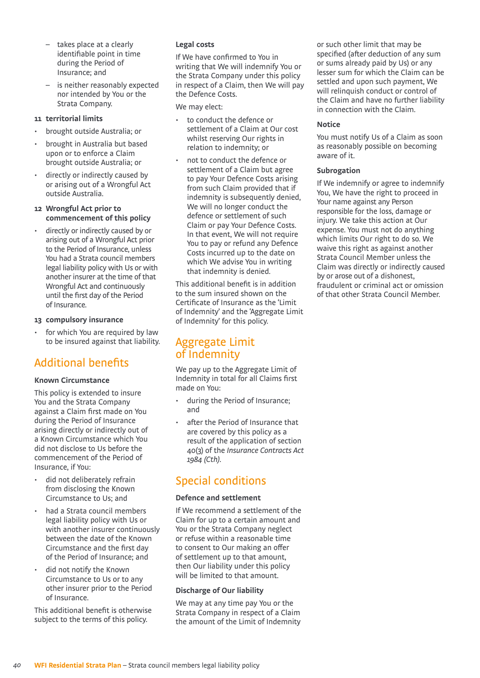- <span id="page-47-0"></span>takes place at a clearly identifiable point in time during the Period of Insurance; and
- is neither reasonably expected nor intended by You or the Strata Company.

#### **11 territorial limits**

- brought outside Australia; or
- brought in Australia but based upon or to enforce a Claim brought outside Australia; or
- directly or indirectly caused by or arising out of a Wrongful Act outside Australia.

#### **12 Wrongful Act prior to commencement of this policy**

• directly or indirectly caused by or arising out of a Wrongful Act prior to the Period of Insurance, unless You had a Strata council members legal liability policy with Us or with another insurer at the time of that Wrongful Act and continuously until the first day of the Period of Insurance.

#### **13 compulsory insurance**

for which You are required by law to be insured against that liability.

## Additional benefits

#### **Known Circumstance**

This policy is extended to insure You and the Strata Company against a Claim first made on You during the Period of Insurance arising directly or indirectly out of a Known Circumstance which You did not disclose to Us before the commencement of the Period of Insurance, if You:

- did not deliberately refrain from disclosing the Known Circumstance to Us; and
- had a Strata council members legal liability policy with Us or with another insurer continuously between the date of the Known Circumstance and the first day of the Period of Insurance; and
- did not notify the Known Circumstance to Us or to any other insurer prior to the Period of Insurance.

This additional benefit is otherwise subject to the terms of this policy.

#### **Legal costs**

If We have confirmed to You in writing that We will indemnify You or the Strata Company under this policy in respect of a Claim, then We will pay the Defence Costs.

We may elect:

- to conduct the defence or settlement of a Claim at Our cost whilst reserving Our rights in relation to indemnity; or
- not to conduct the defence or settlement of a Claim but agree to pay Your Defence Costs arising from such Claim provided that if indemnity is subsequently denied, We will no longer conduct the defence or settlement of such Claim or pay Your Defence Costs. In that event, We will not require You to pay or refund any Defence Costs incurred up to the date on which We advise You in writing that indemnity is denied.

This additional benefit is in addition to the sum insured shown on the Certificate of Insurance as the 'Limit of Indemnity' and the 'Aggregate Limit of Indemnity' for this policy.

## Aggregate Limit of Indemnity

We pay up to the Aggregate Limit of Indemnity in total for all Claims first made on You:

- during the Period of Insurance; and
- after the Period of Insurance that are covered by this policy as a result of the application of section 40(3) of the Insurance Contracts Act 1984 (Cth).

## Special conditions

#### **Defence and settlement**

If We recommend a settlement of the Claim for up to a certain amount and You or the Strata Company neglect or refuse within a reasonable time to consent to Our making an offer of settlement up to that amount, then Our liability under this policy will be limited to that amount.

#### **Discharge of Our liability**

We may at any time pay You or the Strata Company in respect of a Claim the amount of the Limit of Indemnity or such other limit that may be specified (after deduction of any sum or sums already paid by Us) or any lesser sum for which the Claim can be settled and upon such payment, We will relinquish conduct or control of the Claim and have no further liability in connection with the Claim.

#### **Notice**

You must notify Us of a Claim as soon as reasonably possible on becoming aware of it.

#### **Subrogation**

If We indemnify or agree to indemnify You, We have the right to proceed in Your name against any Person responsible for the loss, damage or injury. We take this action at Our expense. You must not do anything which limits Our right to do so. We waive this right as against another Strata Council Member unless the Claim was directly or indirectly caused by or arose out of a dishonest, fraudulent or criminal act or omission of that other Strata Council Member.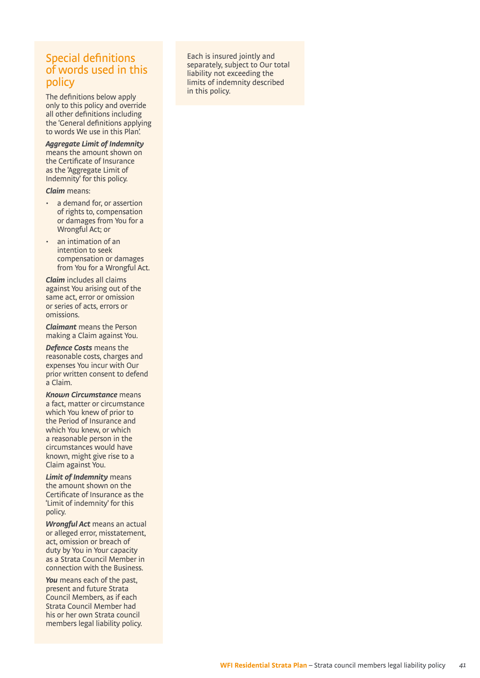## <span id="page-48-0"></span>Special definitions of words used in this policy

The definitions below apply only to this policy and override all other definitions including the 'General definitions applying to words We use in this Plan'.

**Aggregate Limit of Indemnity** means the amount shown on the Certificate of Insurance as the 'Aggregate Limit of Indemnity' for this policy.

#### **Claim** means:

- a demand for, or assertion of rights to, compensation or damages from You for a Wrongful Act; or
- an intimation of an intention to seek compensation or damages from You for a Wrongful Act.

**Claim** includes all claims against You arising out of the same act, error or omission or series of acts, errors or omissions.

**Claimant** means the Person making a Claim against You.

**Defence Costs** means the reasonable costs, charges and expenses You incur with Our prior written consent to defend a Claim.

**Known Circumstance** means a fact, matter or circumstance which You knew of prior to the Period of Insurance and which You knew, or which a reasonable person in the circumstances would have known, might give rise to a Claim against You.

**Limit of Indemnity** means the amount shown on the Certificate of Insurance as the 'Limit of indemnity' for this policy.

**Wrongful Act** means an actual or alleged error, misstatement, act, omission or breach of duty by You in Your capacity as a Strata Council Member in connection with the Business.

**You** means each of the past, present and future Strata Council Members, as if each Strata Council Member had his or her own Strata council members legal liability policy. Each is insured jointly and separately, subject to Our total liability not exceeding the limits of indemnity described in this policy.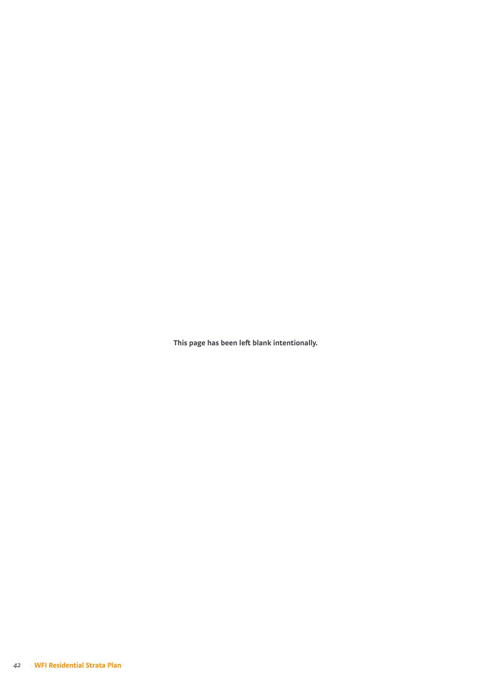**This page has been left blank intentionally.**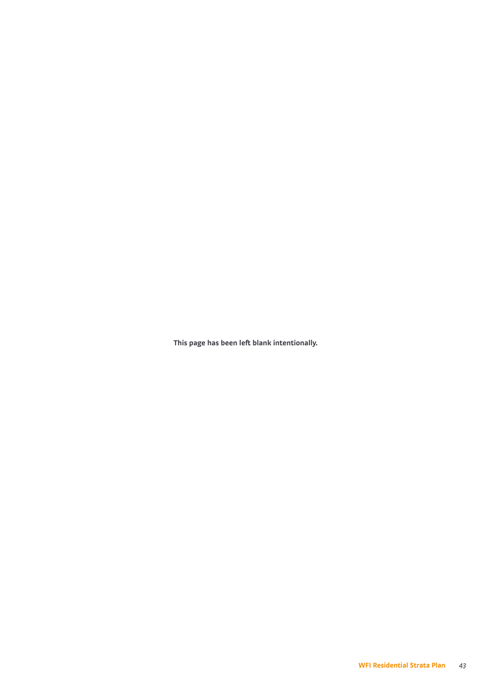**This page has been left blank intentionally.**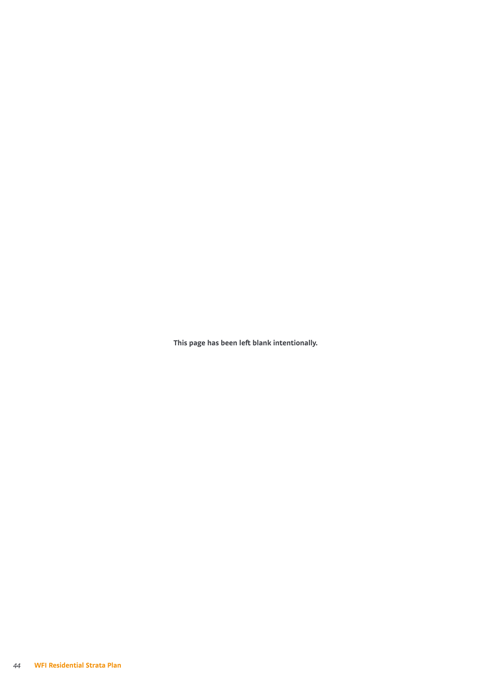**This page has been left blank intentionally.**